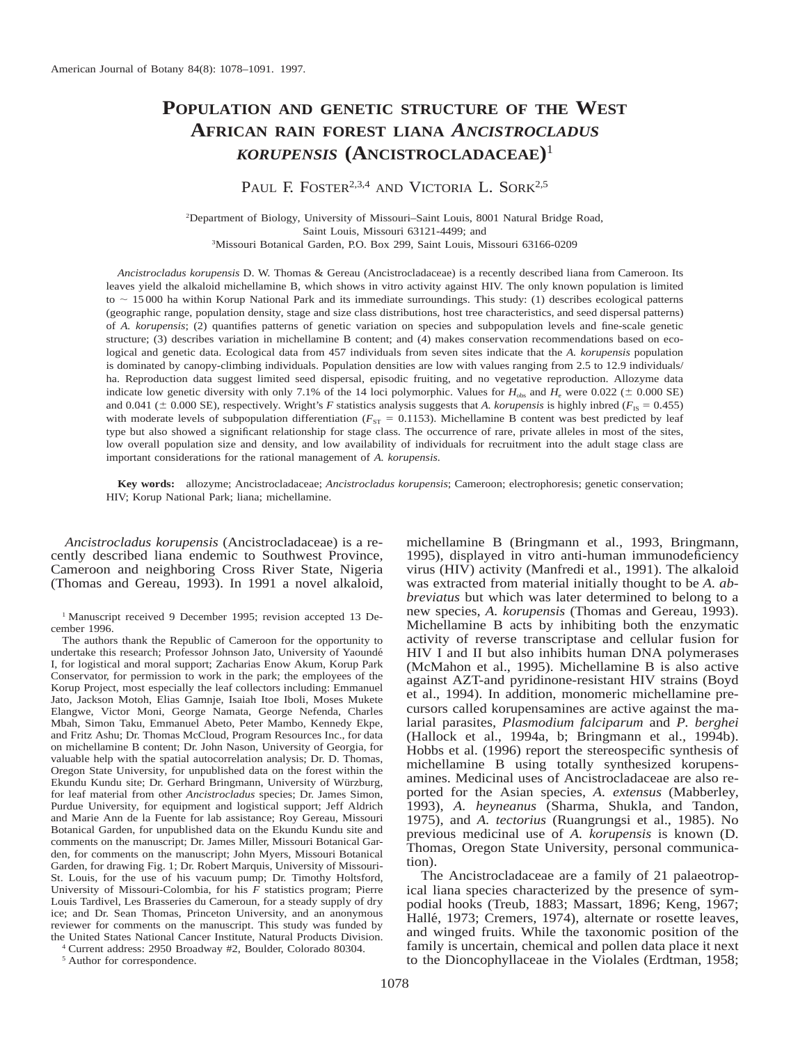# **POPULATION AND GENETIC STRUCTURE OF THE WEST AFRICAN RAIN FOREST LIANA** *ANCISTROCLADUS KORUPENSIS* **(ANCISTROCLADACEAE)**<sup>1</sup>

PAUL F. FOSTER<sup>2,3,4</sup> AND VICTORIA L. SORK<sup>2,5</sup>

2Department of Biology, University of Missouri–Saint Louis, 8001 Natural Bridge Road, Saint Louis, Missouri 63121-4499; and 3Missouri Botanical Garden, P.O. Box 299, Saint Louis, Missouri 63166-0209

*Ancistrocladus korupensis* D. W. Thomas & Gereau (Ancistrocladaceae) is a recently described liana from Cameroon. Its leaves yield the alkaloid michellamine B, which shows in vitro activity against HIV. The only known population is limited to  $\sim$  15000 ha within Korup National Park and its immediate surroundings. This study: (1) describes ecological patterns (geographic range, population density, stage and size class distributions, host tree characteristics, and seed dispersal patterns) of *A. korupensis*; (2) quantifies patterns of genetic variation on species and subpopulation levels and fine-scale genetic structure; (3) describes variation in michellamine B content; and (4) makes conservation recommendations based on ecological and genetic data. Ecological data from 457 individuals from seven sites indicate that the *A. korupensis* population is dominated by canopy-climbing individuals. Population densities are low with values ranging from 2.5 to 12.9 individuals/ ha. Reproduction data suggest limited seed dispersal, episodic fruiting, and no vegetative reproduction. Allozyme data indicate low genetic diversity with only 7.1% of the 14 loci polymorphic. Values for  $H_{obs}$  and  $H_{e}$  were 0.022 ( $\pm$  0.000 SE) and 0.041 ( $\pm$  0.000 SE), respectively. Wright's *F* statistics analysis suggests that *A. korupensis* is highly inbred ( $F_{\text{IS}}$  = 0.455) with moderate levels of subpopulation differentiation ( $F_{ST} = 0.1153$ ). Michellamine B content was best predicted by leaf type but also showed a significant relationship for stage class. The occurrence of rare, private alleles in most of the sites, low overall population size and density, and low availability of individuals for recruitment into the adult stage class are important considerations for the rational management of *A. korupensis.*

**Key words:** allozyme; Ancistrocladaceae; *Ancistrocladus korupensis*; Cameroon; electrophoresis; genetic conservation; HIV; Korup National Park; liana; michellamine.

*Ancistrocladus korupensis* (Ancistrocladaceae) is a recently described liana endemic to Southwest Province, Cameroon and neighboring Cross River State, Nigeria (Thomas and Gereau, 1993). In 1991 a novel alkaloid,

<sup>1</sup> Manuscript received 9 December 1995; revision accepted 13 December 1996.

The authors thank the Republic of Cameroon for the opportunity to undertake this research; Professor Johnson Jato, University of Yaounde´ I, for logistical and moral support; Zacharias Enow Akum, Korup Park Conservator, for permission to work in the park; the employees of the Korup Project, most especially the leaf collectors including: Emmanuel Jato, Jackson Motoh, Elias Gamnje, Isaiah Itoe Iboli, Moses Mukete Elangwe, Victor Moni, George Namata, George Nefenda, Charles Mbah, Simon Taku, Emmanuel Abeto, Peter Mambo, Kennedy Ekpe, and Fritz Ashu; Dr. Thomas McCloud, Program Resources Inc., for data on michellamine B content; Dr. John Nason, University of Georgia, for valuable help with the spatial autocorrelation analysis; Dr. D. Thomas, Oregon State University, for unpublished data on the forest within the Ekundu Kundu site; Dr. Gerhard Bringmann, University of Würzburg, for leaf material from other *Ancistrocladus* species; Dr. James Simon, Purdue University, for equipment and logistical support; Jeff Aldrich and Marie Ann de la Fuente for lab assistance; Roy Gereau, Missouri Botanical Garden, for unpublished data on the Ekundu Kundu site and comments on the manuscript; Dr. James Miller, Missouri Botanical Garden, for comments on the manuscript; John Myers, Missouri Botanical Garden, for drawing Fig. 1; Dr. Robert Marquis, University of Missouri-St. Louis, for the use of his vacuum pump; Dr. Timothy Holtsford, University of Missouri-Colombia, for his *F* statistics program; Pierre Louis Tardivel, Les Brasseries du Cameroun, for a steady supply of dry ice; and Dr. Sean Thomas, Princeton University, and an anonymous reviewer for comments on the manuscript. This study was funded by the United States National Cancer Institute, Natural Products Division.

<sup>4</sup> Current address: 2950 Broadway #2, Boulder, Colorado 80304.

<sup>5</sup> Author for correspondence.

michellamine B (Bringmann et al., 1993, Bringmann, 1995), displayed in vitro anti-human immunodeficiency virus (HIV) activity (Manfredi et al., 1991). The alkaloid was extracted from material initially thought to be *A. abbreviatus* but which was later determined to belong to a new species, *A. korupensis* (Thomas and Gereau, 1993). Michellamine B acts by inhibiting both the enzymatic activity of reverse transcriptase and cellular fusion for HIV I and II but also inhibits human DNA polymerases (McMahon et al., 1995). Michellamine B is also active against AZT-and pyridinone-resistant HIV strains (Boyd et al., 1994). In addition, monomeric michellamine precursors called korupensamines are active against the malarial parasites, *Plasmodium falciparum* and *P. berghei* (Hallock et al., 1994a, b; Bringmann et al., 1994b). Hobbs et al. (1996) report the stereospecific synthesis of michellamine B using totally synthesized korupensamines. Medicinal uses of Ancistrocladaceae are also reported for the Asian species, *A. extensus* (Mabberley, 1993), *A. heyneanus* (Sharma, Shukla, and Tandon, 1975), and *A. tectorius* (Ruangrungsi et al., 1985). No previous medicinal use of *A. korupensis* is known (D. Thomas, Oregon State University, personal communication).

The Ancistrocladaceae are a family of 21 palaeotropical liana species characterized by the presence of sympodial hooks (Treub, 1883; Massart, 1896; Keng, 1967; Hallé, 1973; Cremers, 1974), alternate or rosette leaves, and winged fruits. While the taxonomic position of the family is uncertain, chemical and pollen data place it next to the Dioncophyllaceae in the Violales (Erdtman, 1958;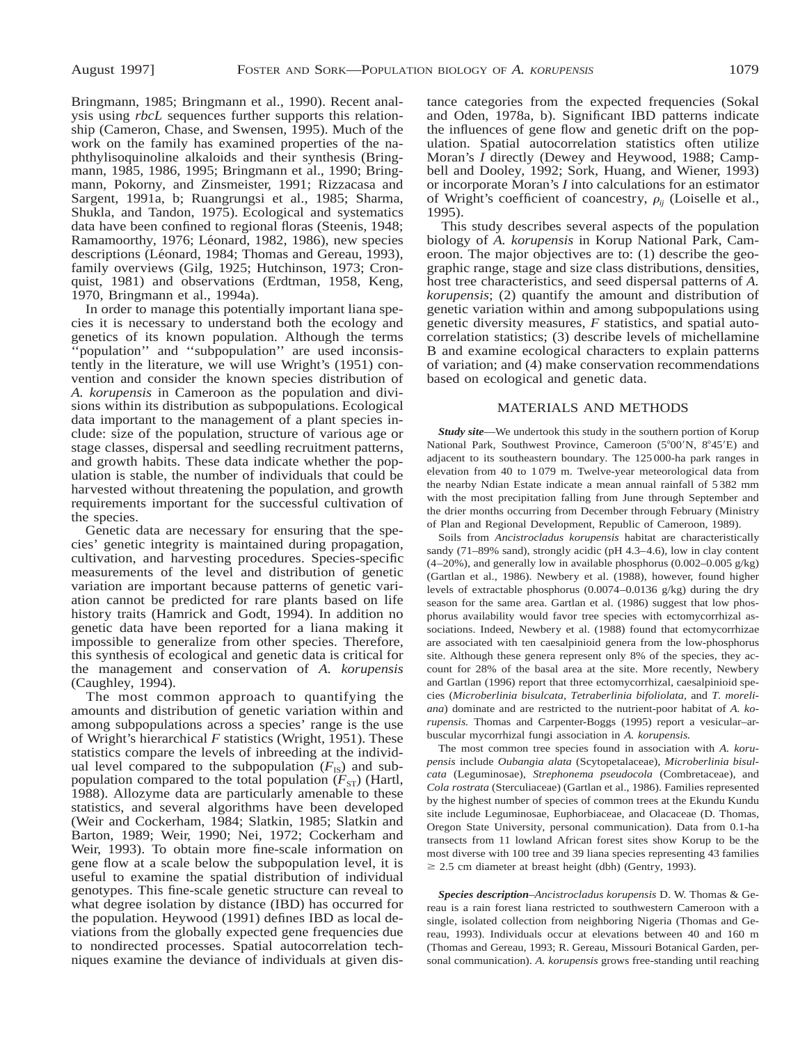Bringmann, 1985; Bringmann et al., 1990). Recent analysis using *rbcL* sequences further supports this relationship (Cameron, Chase, and Swensen, 1995). Much of the work on the family has examined properties of the naphthylisoquinoline alkaloids and their synthesis (Bringmann, 1985, 1986, 1995; Bringmann et al., 1990; Bringmann, Pokorny, and Zinsmeister, 1991; Rizzacasa and Sargent, 1991a, b; Ruangrungsi et al., 1985; Sharma, Shukla, and Tandon, 1975). Ecological and systematics data have been confined to regional floras (Steenis, 1948; Ramamoorthy, 1976; Léonard, 1982, 1986), new species descriptions (Léonard, 1984; Thomas and Gereau, 1993), family overviews (Gilg, 1925; Hutchinson, 1973; Cronquist, 1981) and observations (Erdtman, 1958, Keng, 1970, Bringmann et al., 1994a).

In order to manage this potentially important liana species it is necessary to understand both the ecology and genetics of its known population. Although the terms 'population'' and "subpopulation" are used inconsistently in the literature, we will use Wright's (1951) convention and consider the known species distribution of *A. korupensis* in Cameroon as the population and divisions within its distribution as subpopulations. Ecological data important to the management of a plant species include: size of the population, structure of various age or stage classes, dispersal and seedling recruitment patterns, and growth habits. These data indicate whether the population is stable, the number of individuals that could be harvested without threatening the population, and growth requirements important for the successful cultivation of the species.

Genetic data are necessary for ensuring that the species' genetic integrity is maintained during propagation, cultivation, and harvesting procedures. Species-specific measurements of the level and distribution of genetic variation are important because patterns of genetic variation cannot be predicted for rare plants based on life history traits (Hamrick and Godt, 1994). In addition no genetic data have been reported for a liana making it impossible to generalize from other species. Therefore, this synthesis of ecological and genetic data is critical for the management and conservation of *A. korupensis* (Caughley, 1994).

The most common approach to quantifying the amounts and distribution of genetic variation within and among subpopulations across a species' range is the use of Wright's hierarchical *F* statistics (Wright, 1951). These statistics compare the levels of inbreeding at the individual level compared to the subpopulation  $(F_{IS})$  and subpopulation compared to the total population  $(F_{ST})$  (Hartl, 1988). Allozyme data are particularly amenable to these statistics, and several algorithms have been developed (Weir and Cockerham, 1984; Slatkin, 1985; Slatkin and Barton, 1989; Weir, 1990; Nei, 1972; Cockerham and Weir, 1993). To obtain more fine-scale information on gene flow at a scale below the subpopulation level, it is useful to examine the spatial distribution of individual genotypes. This fine-scale genetic structure can reveal to what degree isolation by distance (IBD) has occurred for the population. Heywood (1991) defines IBD as local deviations from the globally expected gene frequencies due to nondirected processes. Spatial autocorrelation techniques examine the deviance of individuals at given dis-

tance categories from the expected frequencies (Sokal and Oden, 1978a, b). Significant IBD patterns indicate the influences of gene flow and genetic drift on the population. Spatial autocorrelation statistics often utilize Moran's *I* directly (Dewey and Heywood, 1988; Campbell and Dooley, 1992; Sork, Huang, and Wiener, 1993) or incorporate Moran's *I* into calculations for an estimator of Wright's coefficient of coancestry,  $\rho_{ii}$  (Loiselle et al., 1995).

This study describes several aspects of the population biology of *A. korupensis* in Korup National Park, Cameroon. The major objectives are to: (1) describe the geographic range, stage and size class distributions, densities, host tree characteristics, and seed dispersal patterns of *A. korupensis*; (2) quantify the amount and distribution of genetic variation within and among subpopulations using genetic diversity measures, *F* statistics, and spatial autocorrelation statistics; (3) describe levels of michellamine B and examine ecological characters to explain patterns of variation; and (4) make conservation recommendations based on ecological and genetic data.

## MATERIALS AND METHODS

*Study site*—We undertook this study in the southern portion of Korup National Park, Southwest Province, Cameroon (5°00'N, 8°45'E) and adjacent to its southeastern boundary. The 125 000-ha park ranges in elevation from 40 to 1 079 m. Twelve-year meteorological data from the nearby Ndian Estate indicate a mean annual rainfall of 5 382 mm with the most precipitation falling from June through September and the drier months occurring from December through February (Ministry of Plan and Regional Development, Republic of Cameroon, 1989).

Soils from *Ancistrocladus korupensis* habitat are characteristically sandy (71–89% sand), strongly acidic (pH 4.3–4.6), low in clay content  $(4–20%)$ , and generally low in available phosphorus  $(0.002–0.005 \text{ g/kg})$ (Gartlan et al., 1986). Newbery et al. (1988), however, found higher levels of extractable phosphorus (0.0074–0.0136 g/kg) during the dry season for the same area. Gartlan et al. (1986) suggest that low phosphorus availability would favor tree species with ectomycorrhizal associations. Indeed, Newbery et al. (1988) found that ectomycorrhizae are associated with ten caesalpinioid genera from the low-phosphorus site. Although these genera represent only 8% of the species, they account for 28% of the basal area at the site. More recently, Newbery and Gartlan (1996) report that three ectomycorrhizal, caesalpinioid species (*Microberlinia bisulcata, Tetraberlinia bifoliolata,* and *T. moreliana*) dominate and are restricted to the nutrient-poor habitat of *A. korupensis.* Thomas and Carpenter-Boggs (1995) report a vesicular–arbuscular mycorrhizal fungi association in *A. korupensis.*

The most common tree species found in association with *A. korupensis* include *Oubangia alata* (Scytopetalaceae), *Microberlinia bisulcata* (Leguminosae), *Strephonema pseudocola* (Combretaceae), and *Cola rostrata* (Sterculiaceae) (Gartlan et al., 1986). Families represented by the highest number of species of common trees at the Ekundu Kundu site include Leguminosae, Euphorbiaceae, and Olacaceae (D. Thomas, Oregon State University, personal communication). Data from 0.1-ha transects from 11 lowland African forest sites show Korup to be the most diverse with 100 tree and 39 liana species representing 43 families  $\geq$  2.5 cm diameter at breast height (dbh) (Gentry, 1993).

*Species description*–*Ancistrocladus korupensis* D. W. Thomas & Gereau is a rain forest liana restricted to southwestern Cameroon with a single, isolated collection from neighboring Nigeria (Thomas and Gereau, 1993). Individuals occur at elevations between 40 and 160 m (Thomas and Gereau, 1993; R. Gereau, Missouri Botanical Garden, personal communication). *A. korupensis* grows free-standing until reaching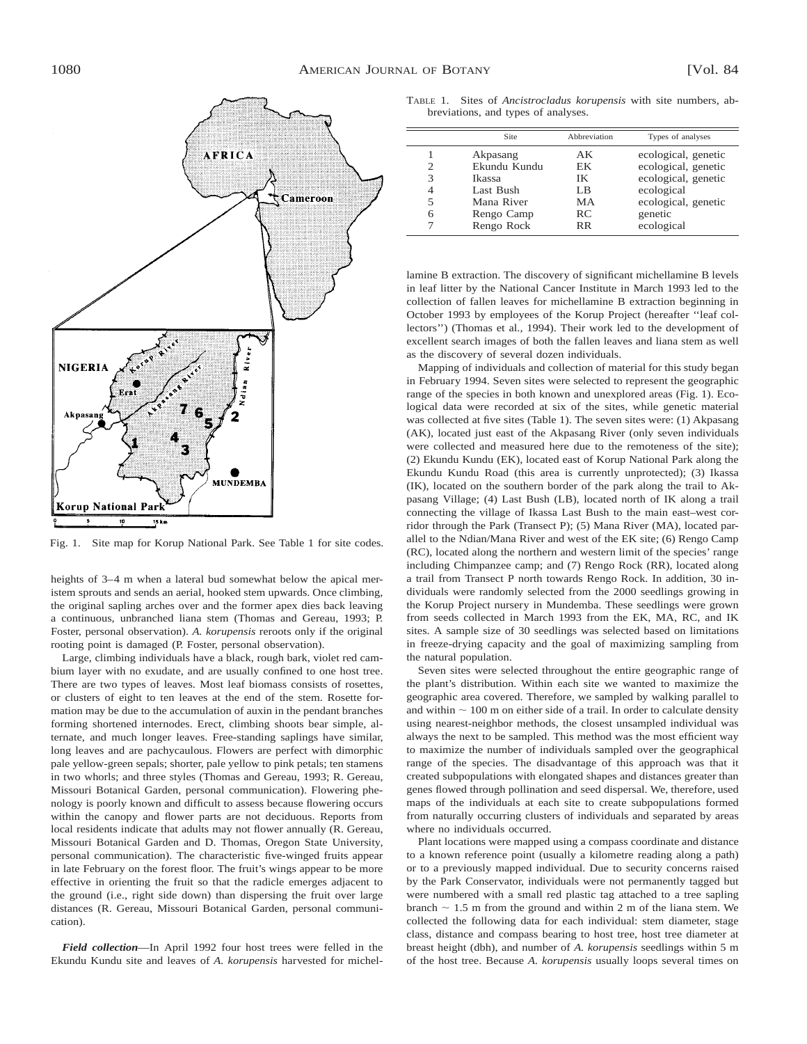

Fig. 1. Site map for Korup National Park. See Table 1 for site codes.

heights of 3–4 m when a lateral bud somewhat below the apical meristem sprouts and sends an aerial, hooked stem upwards. Once climbing, the original sapling arches over and the former apex dies back leaving a continuous, unbranched liana stem (Thomas and Gereau, 1993; P. Foster, personal observation). *A. korupensis* reroots only if the original rooting point is damaged (P. Foster, personal observation).

Large, climbing individuals have a black, rough bark, violet red cambium layer with no exudate, and are usually confined to one host tree. There are two types of leaves. Most leaf biomass consists of rosettes, or clusters of eight to ten leaves at the end of the stem. Rosette formation may be due to the accumulation of auxin in the pendant branches forming shortened internodes. Erect, climbing shoots bear simple, alternate, and much longer leaves. Free-standing saplings have similar, long leaves and are pachycaulous. Flowers are perfect with dimorphic pale yellow-green sepals; shorter, pale yellow to pink petals; ten stamens in two whorls; and three styles (Thomas and Gereau, 1993; R. Gereau, Missouri Botanical Garden, personal communication). Flowering phenology is poorly known and difficult to assess because flowering occurs within the canopy and flower parts are not deciduous. Reports from local residents indicate that adults may not flower annually (R. Gereau, Missouri Botanical Garden and D. Thomas, Oregon State University, personal communication). The characteristic five-winged fruits appear in late February on the forest floor. The fruit's wings appear to be more effective in orienting the fruit so that the radicle emerges adjacent to the ground (i.e., right side down) than dispersing the fruit over large distances (R. Gereau, Missouri Botanical Garden, personal communication).

*Field collection*—In April 1992 four host trees were felled in the Ekundu Kundu site and leaves of *A. korupensis* harvested for michel-

TABLE 1. Sites of *Ancistrocladus korupensis* with site numbers, abbreviations, and types of analyses.

|                       | <b>Site</b>                                                                               | Abbreviation                                   | Types of analyses                                                                                                               |
|-----------------------|-------------------------------------------------------------------------------------------|------------------------------------------------|---------------------------------------------------------------------------------------------------------------------------------|
| 2<br>3<br>4<br>5<br>6 | Akpasang<br>Ekundu Kundu<br>Ikassa<br>Last Bush<br>Mana River<br>Rengo Camp<br>Rengo Rock | AК<br>EК<br>IK<br>LB<br>МA<br>RC.<br><b>RR</b> | ecological, genetic<br>ecological, genetic<br>ecological, genetic<br>ecological<br>ecological, genetic<br>genetic<br>ecological |

lamine B extraction. The discovery of significant michellamine B levels in leaf litter by the National Cancer Institute in March 1993 led to the collection of fallen leaves for michellamine B extraction beginning in October 1993 by employees of the Korup Project (hereafter ''leaf collectors'') (Thomas et al., 1994). Their work led to the development of excellent search images of both the fallen leaves and liana stem as well as the discovery of several dozen individuals.

Mapping of individuals and collection of material for this study began in February 1994. Seven sites were selected to represent the geographic range of the species in both known and unexplored areas (Fig. 1). Ecological data were recorded at six of the sites, while genetic material was collected at five sites (Table 1). The seven sites were: (1) Akpasang (AK), located just east of the Akpasang River (only seven individuals were collected and measured here due to the remoteness of the site); (2) Ekundu Kundu (EK), located east of Korup National Park along the Ekundu Kundu Road (this area is currently unprotected); (3) Ikassa (IK), located on the southern border of the park along the trail to Akpasang Village; (4) Last Bush (LB), located north of IK along a trail connecting the village of Ikassa Last Bush to the main east–west corridor through the Park (Transect P); (5) Mana River (MA), located parallel to the Ndian/Mana River and west of the EK site; (6) Rengo Camp (RC), located along the northern and western limit of the species' range including Chimpanzee camp; and (7) Rengo Rock (RR), located along a trail from Transect P north towards Rengo Rock. In addition, 30 individuals were randomly selected from the 2000 seedlings growing in the Korup Project nursery in Mundemba. These seedlings were grown from seeds collected in March 1993 from the EK, MA, RC, and IK sites. A sample size of 30 seedlings was selected based on limitations in freeze-drying capacity and the goal of maximizing sampling from the natural population.

Seven sites were selected throughout the entire geographic range of the plant's distribution. Within each site we wanted to maximize the geographic area covered. Therefore, we sampled by walking parallel to and within  $\sim 100$  m on either side of a trail. In order to calculate density using nearest-neighbor methods, the closest unsampled individual was always the next to be sampled. This method was the most efficient way to maximize the number of individuals sampled over the geographical range of the species. The disadvantage of this approach was that it created subpopulations with elongated shapes and distances greater than genes flowed through pollination and seed dispersal. We, therefore, used maps of the individuals at each site to create subpopulations formed from naturally occurring clusters of individuals and separated by areas where no individuals occurred.

Plant locations were mapped using a compass coordinate and distance to a known reference point (usually a kilometre reading along a path) or to a previously mapped individual. Due to security concerns raised by the Park Conservator, individuals were not permanently tagged but were numbered with a small red plastic tag attached to a tree sapling branch  $\sim$  1.5 m from the ground and within 2 m of the liana stem. We collected the following data for each individual: stem diameter, stage class, distance and compass bearing to host tree, host tree diameter at breast height (dbh), and number of *A. korupensis* seedlings within 5 m of the host tree. Because *A. korupensis* usually loops several times on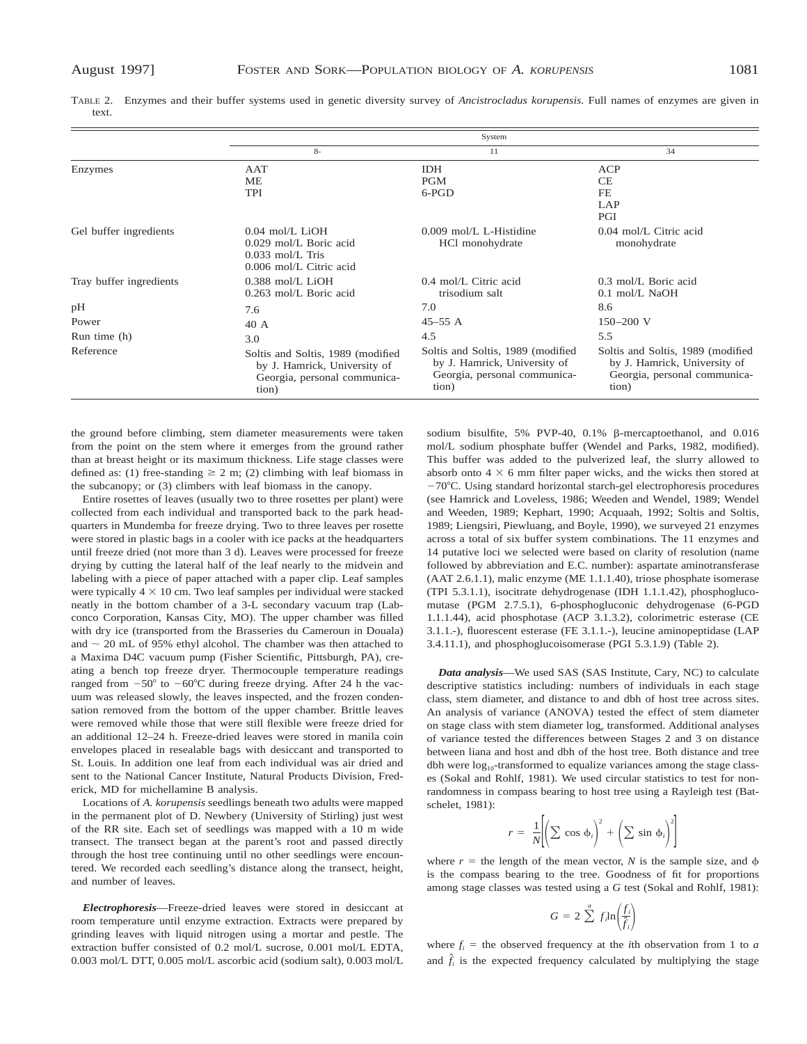|                         |                                                                                                            | System                                                                                                     |                                                                                                            |
|-------------------------|------------------------------------------------------------------------------------------------------------|------------------------------------------------------------------------------------------------------------|------------------------------------------------------------------------------------------------------------|
|                         | $8-$                                                                                                       | 11                                                                                                         | 34                                                                                                         |
| Enzymes                 | AAT                                                                                                        | <b>IDH</b>                                                                                                 | <b>ACP</b>                                                                                                 |
|                         | МE                                                                                                         | <b>PGM</b>                                                                                                 | <b>CE</b>                                                                                                  |
|                         | <b>TPI</b>                                                                                                 | $6-PGD$                                                                                                    | FE                                                                                                         |
|                         |                                                                                                            |                                                                                                            | LAP                                                                                                        |
|                         |                                                                                                            |                                                                                                            | PGI                                                                                                        |
| Gel buffer ingredients  | $0.04$ mol/L LiOH<br>0.029 mol/L Boric acid<br>$0.033$ mol/L. Tris<br>$0.006$ mol/L Citric acid            | $0.009$ mol/L L-Histidine<br>HCl monohydrate                                                               | 0.04 mol/L Citric acid<br>monohydrate                                                                      |
| Tray buffer ingredients | 0.388 mol/L LiOH<br>0.263 mol/L Boric acid                                                                 | $0.4$ mol/L Citric acid<br>trisodium salt                                                                  | $0.3$ mol/L Boric acid<br>$0.1$ mol/L NaOH                                                                 |
| pH                      | 7.6                                                                                                        | 7.0                                                                                                        | 8.6                                                                                                        |
| Power                   | 40 A                                                                                                       | $45 - 55$ A                                                                                                | $150 - 200$ V                                                                                              |
| Run time (h)            | 3.0                                                                                                        | 4.5                                                                                                        | 5.5                                                                                                        |
| Reference               | Soltis and Soltis, 1989 (modified<br>by J. Hamrick, University of<br>Georgia, personal communica-<br>tion) | Soltis and Soltis, 1989 (modified<br>by J. Hamrick, University of<br>Georgia, personal communica-<br>tion) | Soltis and Soltis, 1989 (modified<br>by J. Hamrick, University of<br>Georgia, personal communica-<br>tion) |

TABLE 2. Enzymes and their buffer systems used in genetic diversity survey of *Ancistrocladus korupensis.* Full names of enzymes are given in text.

the ground before climbing, stem diameter measurements were taken from the point on the stem where it emerges from the ground rather than at breast height or its maximum thickness. Life stage classes were defined as: (1) free-standing  $\geq 2$  m; (2) climbing with leaf biomass in the subcanopy; or (3) climbers with leaf biomass in the canopy.

Entire rosettes of leaves (usually two to three rosettes per plant) were collected from each individual and transported back to the park headquarters in Mundemba for freeze drying. Two to three leaves per rosette were stored in plastic bags in a cooler with ice packs at the headquarters until freeze dried (not more than 3 d). Leaves were processed for freeze drying by cutting the lateral half of the leaf nearly to the midvein and labeling with a piece of paper attached with a paper clip. Leaf samples were typically  $4 \times 10$  cm. Two leaf samples per individual were stacked neatly in the bottom chamber of a 3-L secondary vacuum trap (Labconco Corporation, Kansas City, MO). The upper chamber was filled with dry ice (transported from the Brasseries du Cameroun in Douala) and  $\sim$  20 mL of 95% ethyl alcohol. The chamber was then attached to a Maxima D4C vacuum pump (Fisher Scientific, Pittsburgh, PA), creating a bench top freeze dryer. Thermocouple temperature readings ranged from  $-50^{\circ}$  to  $-60^{\circ}$ C during freeze drying. After 24 h the vacuum was released slowly, the leaves inspected, and the frozen condensation removed from the bottom of the upper chamber. Brittle leaves were removed while those that were still flexible were freeze dried for an additional 12–24 h. Freeze-dried leaves were stored in manila coin envelopes placed in resealable bags with desiccant and transported to St. Louis. In addition one leaf from each individual was air dried and sent to the National Cancer Institute, Natural Products Division, Frederick, MD for michellamine B analysis.

Locations of *A. korupensis* seedlings beneath two adults were mapped in the permanent plot of D. Newbery (University of Stirling) just west of the RR site. Each set of seedlings was mapped with a 10 m wide transect. The transect began at the parent's root and passed directly through the host tree continuing until no other seedlings were encountered. We recorded each seedling's distance along the transect, height, and number of leaves.

*Electrophoresis*—Freeze-dried leaves were stored in desiccant at room temperature until enzyme extraction. Extracts were prepared by grinding leaves with liquid nitrogen using a mortar and pestle. The extraction buffer consisted of 0.2 mol/L sucrose, 0.001 mol/L EDTA, 0.003 mol/L DTT, 0.005 mol/L ascorbic acid (sodium salt), 0.003 mol/L

sodium bisulfite, 5% PVP-40, 0.1% ß-mercaptoethanol, and 0.016 mol/L sodium phosphate buffer (Wendel and Parks, 1982, modified). This buffer was added to the pulverized leaf, the slurry allowed to absorb onto  $4 \times 6$  mm filter paper wicks, and the wicks then stored at  $-70^{\circ}$ C. Using standard horizontal starch-gel electrophoresis procedures (see Hamrick and Loveless, 1986; Weeden and Wendel, 1989; Wendel and Weeden, 1989; Kephart, 1990; Acquaah, 1992; Soltis and Soltis, 1989; Liengsiri, Piewluang, and Boyle, 1990), we surveyed 21 enzymes across a total of six buffer system combinations. The 11 enzymes and 14 putative loci we selected were based on clarity of resolution (name followed by abbreviation and E.C. number): aspartate aminotransferase (AAT 2.6.1.1), malic enzyme (ME 1.1.1.40), triose phosphate isomerase (TPI 5.3.1.1), isocitrate dehydrogenase (IDH 1.1.1.42), phosphoglucomutase (PGM 2.7.5.1), 6-phosphogluconic dehydrogenase (6-PGD 1.1.1.44), acid phosphotase (ACP 3.1.3.2), colorimetric esterase (CE 3.1.1.-), fluorescent esterase (FE 3.1.1.-), leucine aminopeptidase (LAP 3.4.11.1), and phosphoglucoisomerase (PGI 5.3.1.9) (Table 2).

*Data analysis*—We used SAS (SAS Institute, Cary, NC) to calculate descriptive statistics including: numbers of individuals in each stage class, stem diameter, and distance to and dbh of host tree across sites. An analysis of variance (ANOVA) tested the effect of stem diameter on stage class with stem diameter log*<sup>e</sup>* transformed. Additional analyses of variance tested the differences between Stages 2 and 3 on distance between liana and host and dbh of the host tree. Both distance and tree dbh were  $log_{10}$ -transformed to equalize variances among the stage classes (Sokal and Rohlf, 1981). We used circular statistics to test for nonrandomness in compass bearing to host tree using a Rayleigh test (Batschelet, 1981):

$$
r = \frac{1}{N} \left[ \left( \sum \cos \phi_i \right)^2 + \left( \sum \sin \phi_i \right)^2 \right]
$$

where  $r =$  the length of the mean vector, *N* is the sample size, and  $\phi$ is the compass bearing to the tree. Goodness of fit for proportions among stage classes was tested using a *G* test (Sokal and Rohlf, 1981):

$$
G = 2 \sum_{i=1}^{a} f_i \ln \left( \frac{f_i}{\hat{f}_i} \right)
$$

where  $f_i$  = the observed frequency at the *i*th observation from 1 to *a* and  $\hat{f}_i$  is the expected frequency calculated by multiplying the stage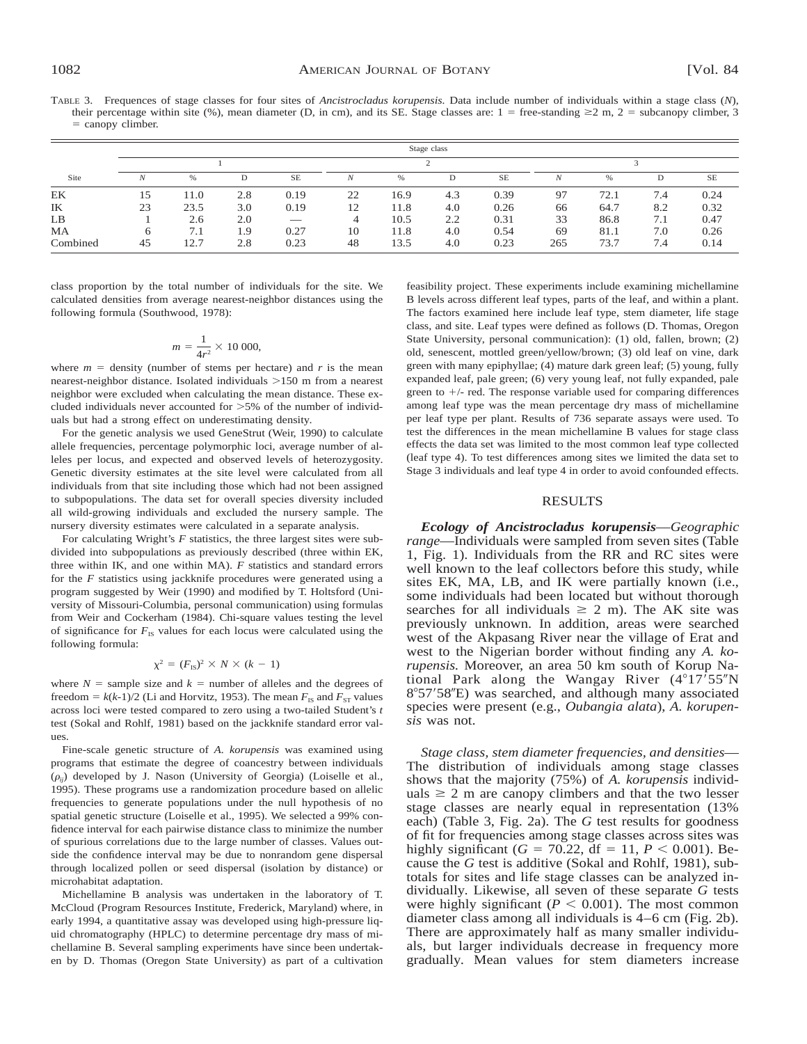TABLE 3. Frequences of stage classes for four sites of *Ancistrocladus korupensis.* Data include number of individuals within a stage class (*N*), their percentage within site (%), mean diameter (D, in cm), and its SE. Stage classes are:  $1 =$  free-standing  $\geq 2$  m,  $2 =$  subcanopy climber, 3  $=$  canopy climber.

|          |    |      |     |           |    |      | Stage class |           |     |      |     |      |
|----------|----|------|-----|-----------|----|------|-------------|-----------|-----|------|-----|------|
|          |    |      |     |           |    |      |             |           |     |      |     |      |
| Site     |    | %    | D   | <b>SE</b> |    | %    |             | <b>SE</b> |     | %    | D   | SE   |
| EK       | 15 | 11.0 | 2.8 | 0.19      | 22 | 16.9 | 4.3         | 0.39      | 97  | 72.1 | 7.4 | 0.24 |
| IK       | 23 | 23.5 | 3.0 | 0.19      | 12 | 11.8 | 4.0         | 0.26      | 66  | 64.7 | 8.2 | 0.32 |
| LB       |    | 2.6  | 2.0 |           | 4  | 10.5 | 2.2         | 0.31      | 33  | 86.8 | 7.1 | 0.47 |
| MA       |    | 7.1  | 1.9 | 0.27      | 10 | 11.8 | 4.0         | 0.54      | 69  | 81.1 | 7.0 | 0.26 |
| Combined | 45 | 12.7 | 2.8 | 0.23      | 48 | 13.5 | 4.0         | 0.23      | 265 | 73.7 | 7.4 | 0.14 |

class proportion by the total number of individuals for the site. We calculated densities from average nearest-neighbor distances using the following formula (Southwood, 1978):

$$
m = \frac{1}{4r^2} \times 10\,000,
$$

where  $m =$  density (number of stems per hectare) and  $r$  is the mean nearest-neighbor distance. Isolated individuals  $>150$  m from a nearest neighbor were excluded when calculating the mean distance. These excluded individuals never accounted for  $>5\%$  of the number of individuals but had a strong effect on underestimating density.

For the genetic analysis we used GeneStrut (Weir, 1990) to calculate allele frequencies, percentage polymorphic loci, average number of alleles per locus, and expected and observed levels of heterozygosity. Genetic diversity estimates at the site level were calculated from all individuals from that site including those which had not been assigned to subpopulations. The data set for overall species diversity included all wild-growing individuals and excluded the nursery sample. The nursery diversity estimates were calculated in a separate analysis.

For calculating Wright's *F* statistics, the three largest sites were subdivided into subpopulations as previously described (three within EK, three within IK, and one within MA). *F* statistics and standard errors for the *F* statistics using jackknife procedures were generated using a program suggested by Weir (1990) and modified by T. Holtsford (University of Missouri-Columbia, personal communication) using formulas from Weir and Cockerham (1984). Chi-square values testing the level of significance for  $F_{\text{IS}}$  values for each locus were calculated using the following formula:

$$
\chi^2 = (F_{\rm IS})^2 \times N \times (k-1)
$$

where  $N =$  sample size and  $k =$  number of alleles and the degrees of freedom =  $k(k-1)/2$  (Li and Horvitz, 1953). The mean  $F_{IS}$  and  $F_{ST}$  values across loci were tested compared to zero using a two-tailed Student's *t* test (Sokal and Rohlf, 1981) based on the jackknife standard error values.

Fine-scale genetic structure of *A. korupensis* was examined using programs that estimate the degree of coancestry between individuals  $(\rho_{ii})$  developed by J. Nason (University of Georgia) (Loiselle et al., 1995). These programs use a randomization procedure based on allelic frequencies to generate populations under the null hypothesis of no spatial genetic structure (Loiselle et al., 1995). We selected a 99% confidence interval for each pairwise distance class to minimize the number of spurious correlations due to the large number of classes. Values outside the confidence interval may be due to nonrandom gene dispersal through localized pollen or seed dispersal (isolation by distance) or microhabitat adaptation.

Michellamine B analysis was undertaken in the laboratory of T. McCloud (Program Resources Institute, Frederick, Maryland) where, in early 1994, a quantitative assay was developed using high-pressure liquid chromatography (HPLC) to determine percentage dry mass of michellamine B. Several sampling experiments have since been undertaken by D. Thomas (Oregon State University) as part of a cultivation feasibility project. These experiments include examining michellamine B levels across different leaf types, parts of the leaf, and within a plant. The factors examined here include leaf type, stem diameter, life stage class, and site. Leaf types were defined as follows (D. Thomas, Oregon State University, personal communication): (1) old, fallen, brown; (2) old, senescent, mottled green/yellow/brown; (3) old leaf on vine, dark green with many epiphyllae; (4) mature dark green leaf; (5) young, fully expanded leaf, pale green; (6) very young leaf, not fully expanded, pale green to  $+/-$  red. The response variable used for comparing differences among leaf type was the mean percentage dry mass of michellamine per leaf type per plant. Results of 736 separate assays were used. To test the differences in the mean michellamine B values for stage class effects the data set was limited to the most common leaf type collected (leaf type 4). To test differences among sites we limited the data set to Stage 3 individuals and leaf type 4 in order to avoid confounded effects.

## RESULTS

*Ecology of Ancistrocladus korupensis*—*Geographic range*—Individuals were sampled from seven sites (Table 1, Fig. 1). Individuals from the RR and RC sites were well known to the leaf collectors before this study, while sites EK, MA, LB, and IK were partially known (i.e., some individuals had been located but without thorough searches for all individuals  $\geq 2$  m). The AK site was previously unknown. In addition, areas were searched west of the Akpasang River near the village of Erat and west to the Nigerian border without finding any *A. korupensis.* Moreover, an area 50 km south of Korup National Park along the Wangay River  $(4^{\circ}17^{\circ}55^{\prime\prime}N)$ 8°57′58″E) was searched, and although many associated species were present (e.g., *Oubangia alata*), *A. korupensis* was not.

*Stage class, stem diameter frequencies, and densities*— The distribution of individuals among stage classes shows that the majority (75%) of *A. korupensis* individuals  $\geq 2$  m are canopy climbers and that the two lesser stage classes are nearly equal in representation (13% each) (Table 3, Fig. 2a). The *G* test results for goodness of fit for frequencies among stage classes across sites was highly significant ( $G = 70.22$ , df = 11,  $P < 0.001$ ). Because the *G* test is additive (Sokal and Rohlf, 1981), subtotals for sites and life stage classes can be analyzed individually. Likewise, all seven of these separate *G* tests were highly significant ( $P < 0.001$ ). The most common diameter class among all individuals is 4–6 cm (Fig. 2b). There are approximately half as many smaller individuals, but larger individuals decrease in frequency more gradually. Mean values for stem diameters increase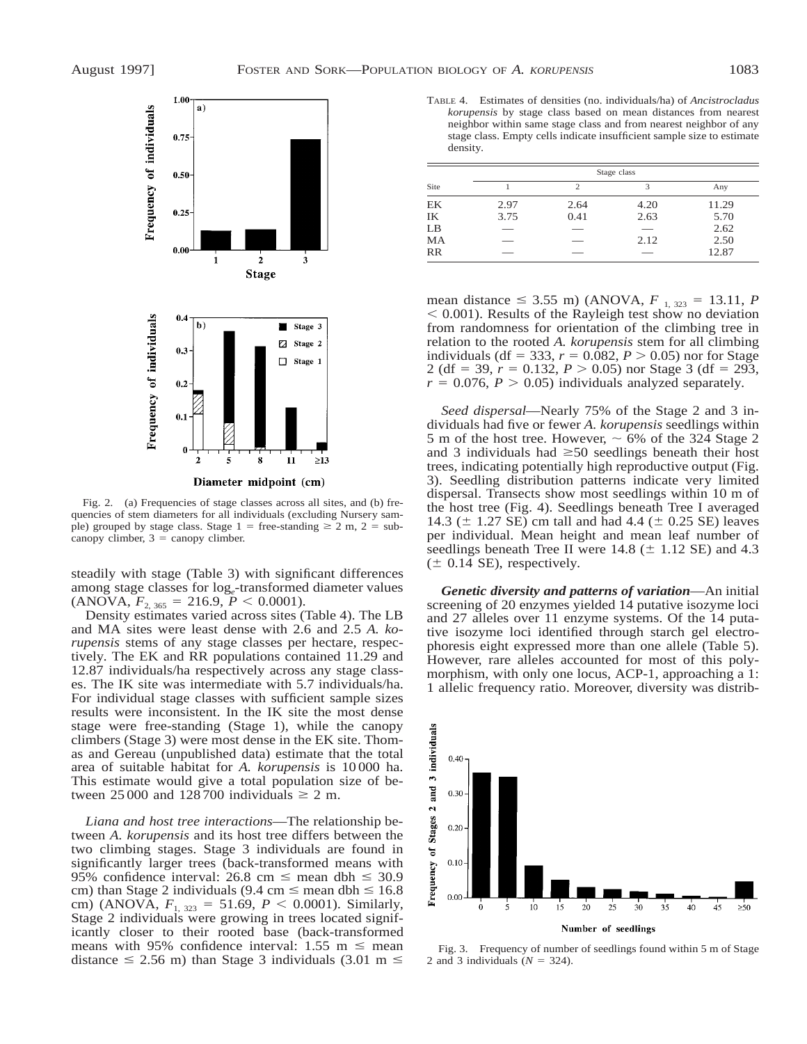

Diameter midpoint (cm)

Fig. 2. (a) Frequencies of stage classes across all sites, and (b) frequencies of stem diameters for all individuals (excluding Nursery sample) grouped by stage class. Stage 1 = free-standing  $\geq 2$  m, 2 = subcanopy climber,  $3 =$  canopy climber.

steadily with stage (Table 3) with significant differences among stage classes for log*e*-transformed diameter values  $(ANOVA, F<sub>2, 365</sub> = 216.9, P < 0.0001).$ 

Density estimates varied across sites (Table 4). The LB and MA sites were least dense with 2.6 and 2.5 *A. korupensis* stems of any stage classes per hectare, respectively. The EK and RR populations contained 11.29 and 12.87 individuals/ha respectively across any stage classes. The IK site was intermediate with 5.7 individuals/ha. For individual stage classes with sufficient sample sizes results were inconsistent. In the IK site the most dense stage were free-standing (Stage 1), while the canopy climbers (Stage 3) were most dense in the EK site. Thomas and Gereau (unpublished data) estimate that the total area of suitable habitat for *A. korupensis* is 10 000 ha. This estimate would give a total population size of between 25 000 and 128 700 individuals  $\geq 2$  m.

*Liana and host tree interactions*—The relationship between *A. korupensis* and its host tree differs between the two climbing stages. Stage 3 individuals are found in significantly larger trees (back-transformed means with 95% confidence interval: 26.8 cm  $\le$  mean dbh  $\le$  30.9 cm) than Stage 2 individuals (9.4 cm  $\le$  mean dbh  $\le$  16.8 cm) (ANOVA,  $F_{1, 323} = 51.69$ ,  $P < 0.0001$ ). Similarly, Stage 2 individuals were growing in trees located significantly closer to their rooted base (back-transformed means with 95% confidence interval: 1.55 m  $\leq$  mean distance  $\leq$  2.56 m) than Stage 3 individuals (3.01 m  $\leq$ 

TABLE 4. Estimates of densities (no. individuals/ha) of *Ancistrocladus korupensis* by stage class based on mean distances from nearest neighbor within same stage class and from nearest neighbor of any stage class. Empty cells indicate insufficient sample size to estimate density.

|           |      |      | Stage class |       |
|-----------|------|------|-------------|-------|
| Site      |      | 2    | 3           | Any   |
| <b>EK</b> | 2.97 | 2.64 | 4.20        | 11.29 |
| IK        | 3.75 | 0.41 | 2.63        | 5.70  |
| LB        |      |      | ___         | 2.62  |
| MA        |      |      | 2.12        | 2.50  |
| <b>RR</b> |      |      |             | 12.87 |

mean distance  $\leq$  3.55 m) (ANOVA,  $F_{1, 323} = 13.11, P$  $< 0.001$ ). Results of the Rayleigh test show no deviation from randomness for orientation of the climbing tree in relation to the rooted *A. korupensis* stem for all climbing individuals (df = 333,  $r = 0.082$ ,  $P > 0.05$ ) nor for Stage 2 (df = 39,  $r = 0.132$ ,  $P > 0.05$ ) nor Stage 3 (df = 293,  $r = 0.076$ ,  $P > 0.05$ ) individuals analyzed separately.

*Seed dispersal*—Nearly 75% of the Stage 2 and 3 individuals had five or fewer *A. korupensis* seedlings within 5 m of the host tree. However,  $\sim$  6% of the 324 Stage 2 and 3 individuals had  $\geq 50$  seedlings beneath their host trees, indicating potentially high reproductive output (Fig. 3). Seedling distribution patterns indicate very limited dispersal. Transects show most seedlings within 10 m of the host tree (Fig. 4). Seedlings beneath Tree I averaged 14.3 ( $\pm$  1.27 SE) cm tall and had 4.4 ( $\pm$  0.25 SE) leaves per individual. Mean height and mean leaf number of seedlings beneath Tree II were  $14.8 \ (\pm 1.12 \ \text{SE})$  and  $4.3$  $(\pm 0.14$  SE), respectively.

*Genetic diversity and patterns of variation*—An initial screening of 20 enzymes yielded 14 putative isozyme loci and 27 alleles over 11 enzyme systems. Of the 14 putative isozyme loci identified through starch gel electrophoresis eight expressed more than one allele (Table 5). However, rare alleles accounted for most of this polymorphism, with only one locus, ACP-1, approaching a 1: 1 allelic frequency ratio. Moreover, diversity was distrib-



Fig. 3. Frequency of number of seedlings found within 5 m of Stage 2 and 3 individuals  $(N = 324)$ .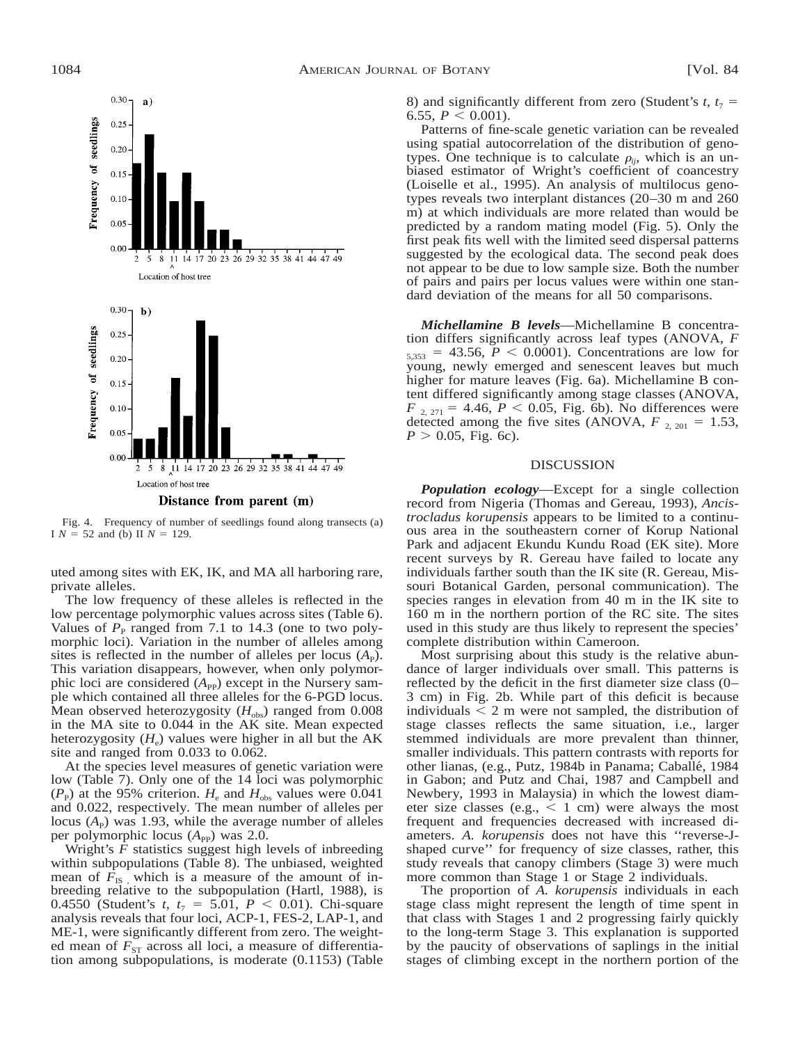

Fig. 4. Frequency of number of seedlings found along transects (a) I  $N = 52$  and (b) II  $N = 129$ .

uted among sites with EK, IK, and MA all harboring rare, private alleles.

The low frequency of these alleles is reflected in the low percentage polymorphic values across sites (Table 6). Values of  $P<sub>P</sub>$  ranged from 7.1 to 14.3 (one to two polymorphic loci). Variation in the number of alleles among sites is reflected in the number of alleles per locus  $(A<sub>P</sub>)$ . This variation disappears, however, when only polymorphic loci are considered  $(A_{PP})$  except in the Nursery sample which contained all three alleles for the 6-PGD locus. Mean observed heterozygosity  $(H_{obs})$  ranged from 0.008 in the MA site to 0.044 in the AK site. Mean expected heterozygosity  $(H_e)$  values were higher in all but the AK site and ranged from 0.033 to 0.062.

At the species level measures of genetic variation were low (Table 7). Only one of the 14 loci was polymorphic  $(P_{\rm P})$  at the 95% criterion.  $H_{\rm e}$  and  $H_{\rm obs}$  values were 0.041 and 0.022, respectively. The mean number of alleles per locus  $(A_P)$  was 1.93, while the average number of alleles per polymorphic locus (A<sub>PP</sub>) was 2.0.

Wright's *F* statistics suggest high levels of inbreeding within subpopulations (Table 8). The unbiased, weighted mean of  $F_{\text{IS}}$ , which is a measure of the amount of inbreeding relative to the subpopulation (Hartl, 1988), is 0.4550 (Student's *t*,  $t_7 = 5.01$ ,  $P < 0.01$ ). Chi-square analysis reveals that four loci, ACP-1, FES-2, LAP-1, and ME-1, were significantly different from zero. The weighted mean of  $F_{ST}$  across all loci, a measure of differentiation among subpopulations, is moderate (0.1153) (Table 8) and significantly different from zero (Student's  $t$ ,  $t_7$  = 6.55,  $P \le 0.001$ ).

Patterns of fine-scale genetic variation can be revealed using spatial autocorrelation of the distribution of genotypes. One technique is to calculate  $\rho_{ii}$ , which is an unbiased estimator of Wright's coefficient of coancestry (Loiselle et al., 1995). An analysis of multilocus genotypes reveals two interplant distances (20–30 m and 260 m) at which individuals are more related than would be predicted by a random mating model (Fig. 5). Only the first peak fits well with the limited seed dispersal patterns suggested by the ecological data. The second peak does not appear to be due to low sample size. Both the number of pairs and pairs per locus values were within one standard deviation of the means for all 50 comparisons.

*Michellamine B levels*—Michellamine B concentration differs significantly across leaf types (ANOVA, *F*  $_{5,353}$  = 43.56, *P* < 0.0001). Concentrations are low for young, newly emerged and senescent leaves but much higher for mature leaves (Fig. 6a). Michellamine B content differed significantly among stage classes (ANOVA,  $F_{2, 271} = 4.46, P < 0.05,$  Fig. 6b). No differences were detected among the five sites (ANOVA,  $F_{2, 201} = 1.53$ ,  $P > 0.05$ , Fig. 6c).

### DISCUSSION

*Population ecology*—Except for a single collection record from Nigeria (Thomas and Gereau, 1993), *Ancistrocladus korupensis* appears to be limited to a continuous area in the southeastern corner of Korup National Park and adjacent Ekundu Kundu Road (EK site). More recent surveys by R. Gereau have failed to locate any individuals farther south than the IK site (R. Gereau, Missouri Botanical Garden, personal communication). The species ranges in elevation from 40 m in the IK site to 160 m in the northern portion of the RC site. The sites used in this study are thus likely to represent the species' complete distribution within Cameroon.

Most surprising about this study is the relative abundance of larger individuals over small. This patterns is reflected by the deficit in the first diameter size class (0– 3 cm) in Fig. 2b. While part of this deficit is because individuals  $\leq 2$  m were not sampled, the distribution of stage classes reflects the same situation, i.e., larger stemmed individuals are more prevalent than thinner, smaller individuals. This pattern contrasts with reports for other lianas, (e.g., Putz, 1984b in Panama; Caballé, 1984 in Gabon; and Putz and Chai, 1987 and Campbell and Newbery, 1993 in Malaysia) in which the lowest diameter size classes (e.g.,  $\leq 1$  cm) were always the most frequent and frequencies decreased with increased diameters. *A. korupensis* does not have this ''reverse-Jshaped curve'' for frequency of size classes, rather, this study reveals that canopy climbers (Stage 3) were much more common than Stage 1 or Stage 2 individuals.

The proportion of *A. korupensis* individuals in each stage class might represent the length of time spent in that class with Stages 1 and 2 progressing fairly quickly to the long-term Stage 3. This explanation is supported by the paucity of observations of saplings in the initial stages of climbing except in the northern portion of the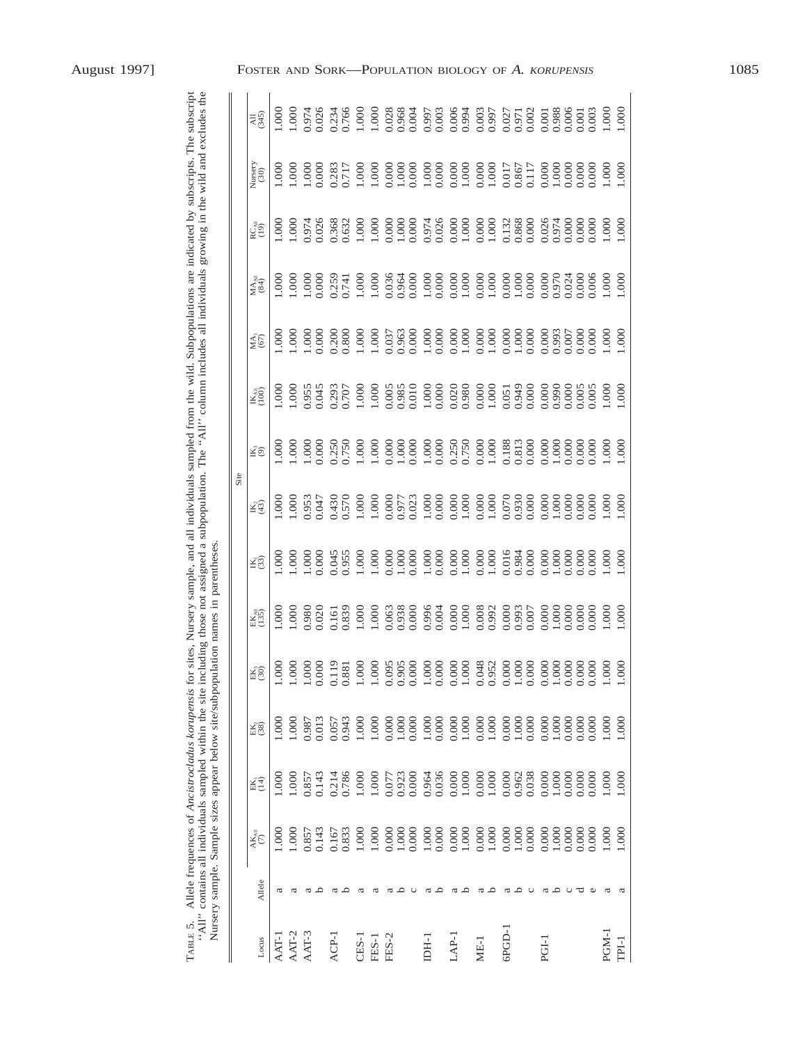| August 1997] |  |
|--------------|--|
|--------------|--|

| TABLE 5. |               | "All" contains all individuals sampled within the site including those not assigned a subpopulation. The "All" column includes all individuals growing in the wild and excludes the<br>Nursery sample. Sample sizes appear below site/subpopulation names in parentheses<br>Allele frequences of Ancistrocladus korupensis for |                                                        |                      |                                                                 |                           |                |                |              |                            | sites, Nursery sample, and all individuals sampled from the wild. Subpopulations are indicated by subscripts. The subscript |                                                                      |                |                                                            |                 |
|----------|---------------|--------------------------------------------------------------------------------------------------------------------------------------------------------------------------------------------------------------------------------------------------------------------------------------------------------------------------------|--------------------------------------------------------|----------------------|-----------------------------------------------------------------|---------------------------|----------------|----------------|--------------|----------------------------|-----------------------------------------------------------------------------------------------------------------------------|----------------------------------------------------------------------|----------------|------------------------------------------------------------|-----------------|
|          |               |                                                                                                                                                                                                                                                                                                                                |                                                        |                      |                                                                 |                           |                | Site           |              |                            |                                                                                                                             |                                                                      |                |                                                            |                 |
| Locus    | Allele        | $\mathbf{AK}_{\mathrm{All}}$                                                                                                                                                                                                                                                                                                   | $\widetilde{\mathrm{EK}}^1_1$                          | $\mathrm{EK}_2$ (38) | $\mathrm{EK}_3$ (30)                                            | EK <sub>A1</sub><br>(135) | K53)           | $E_2$          | ¥ő           | $\mathbb{K}_{\geqslant 0}$ | $M_A$ <sub>(67)</sub>                                                                                                       | $\overset{\textsf{MA}_{\textsf{All}}}{\hspace{-1.1mm}\textsf{(84)}}$ | $RC_{AB}$      | $\begin{array}{c}\text{Nusery} \\ \text{(30)} \end{array}$ | $\overline{45}$ |
| AAT-1    | ದ             | 1.000                                                                                                                                                                                                                                                                                                                          | 1.000                                                  | 1.000                | 1.000                                                           | 1.000                     | 0001           | 000.1          | 000          | 1.000                      | 000.1                                                                                                                       | 1.000                                                                | 1.000          | 1.000                                                      | 1.000           |
| AAT-2    | ದ             | 1.000                                                                                                                                                                                                                                                                                                                          | 1.000                                                  | 1.000                | 1.000                                                           | 1.000                     | 000.1          | 000            | 000          | 1.000                      | 000                                                                                                                         | 000                                                                  | 1.000          | 1.000                                                      | 0001            |
| AAT-3    | $\Delta$<br>ದ | 0.143<br>0.857                                                                                                                                                                                                                                                                                                                 | 0.143<br>0.857                                         | 0.013<br>0.987       | $\begin{array}{c} 1.000 \\ 0.000 \\ 0.119 \\ 0.881 \end{array}$ | 0.980<br>0.020            | 1.000<br>0.000 | 0.953<br>0.047 | 000<br>0.000 | 0.955                      | 1.000<br>0.000                                                                                                              | 1.000<br>0.000                                                       | 0.974<br>0.026 | 1.000<br>0.000                                             | 0.974<br>0.026  |
| ACP-1    | ದ             | 0.167                                                                                                                                                                                                                                                                                                                          | 0.214                                                  | 0.057                |                                                                 | 0.161                     | 0.045          | 0.430          | 0.250        | 0.293                      | 0.200                                                                                                                       | 0.259                                                                | 0.368          | 0.283                                                      | 0.234           |
|          | ≏             | 0.833                                                                                                                                                                                                                                                                                                                          | 0.786                                                  | 0.943                |                                                                 | 0.839                     | 0.955          | 0.570          | 0.750        | 0.707                      | 0.800                                                                                                                       | 0.741                                                                | 0.632          | 0.717                                                      | 0.766           |
| CES-1    | ದ             | 1.000                                                                                                                                                                                                                                                                                                                          | 1.000                                                  | 1.000                | $1.000\,$                                                       | 1.000                     | 1.000          | 1.000          | 1.000        | 1.000                      | 1.000                                                                                                                       | 1.000                                                                | 1.000          | 1.000                                                      | 1.000           |
| FES-1    | ದ             | 1.000                                                                                                                                                                                                                                                                                                                          | 1.000                                                  | 1.000                | 1.000                                                           | 1.000                     | 1.000          | 1.000          | 1.000        | 1.000                      | 1.000                                                                                                                       | 1.000                                                                | 1.000          | 1.000                                                      | 1.000           |
| FES-2    | ದ             | 0.000                                                                                                                                                                                                                                                                                                                          | 0.077                                                  | 0.000                |                                                                 | 0.063                     | 0.000          | 0.000          | 0.000        | 0.005                      | 0.037                                                                                                                       | 0.036                                                                | 0.000          | 0.000                                                      | 0.028           |
|          | ≏             | 1.000                                                                                                                                                                                                                                                                                                                          | 0.923                                                  | 1.000                | $\begin{array}{c} 0.095 \\ 0.905 \\ 0.000 \end{array}$          | 0.938                     | 1.000          | 0.977          | 1.000        | 0.985                      | 0.963                                                                                                                       | 0.964                                                                | 1.000          | 1.000                                                      | 0.968           |
|          | ပ             | 0.000                                                                                                                                                                                                                                                                                                                          | 0.000                                                  | 0.000                |                                                                 | 0.000                     | 0.000          | 0.023          | 0.000        | 0.010                      | 0.000                                                                                                                       | 0.000                                                                | 0.000          | 0.000                                                      | 0.004           |
| I-H-I    | ದ             | $1.000\,$                                                                                                                                                                                                                                                                                                                      | 0.964                                                  | 1.000                | $\frac{1.000}{0.000}$                                           | 0.996                     | 1.000          | 1.000          | 1.000        | 1.000                      | 1.000                                                                                                                       | 0.000                                                                | 0.974          | 0.000                                                      | 0.997           |
|          | $\circ$       | 0.000                                                                                                                                                                                                                                                                                                                          | 0.036                                                  | 0.000                |                                                                 | 0.004                     | 0.000          | 0.000          | 0.000        | 0.000                      | 0.000                                                                                                                       |                                                                      | 0.026          |                                                            | 0.003           |
| LAP-1    | ದ             | 0.000                                                                                                                                                                                                                                                                                                                          | 0.000                                                  | 0.000                |                                                                 | 0.000                     | 0.000          | 0.000          | 0.250        | 0.020                      | 0.000                                                                                                                       | 0.000                                                                | 0.000          | $0.000$                                                    | 0.006           |
|          | ≏             | 1.000                                                                                                                                                                                                                                                                                                                          | 1.000                                                  | 1.000                |                                                                 | 1.000                     | 1.000          | 1.000          | 0.750        | 0.980                      | 1.000                                                                                                                       | 1.000                                                                | 1.000          | 1.000                                                      | 0.994           |
| $ME-1$   | ದ             | 0.000                                                                                                                                                                                                                                                                                                                          | 0.000                                                  | 0.000                | $\begin{array}{c} 0.000 \\ 1.000 \\ 0.048 \\ 0.952 \end{array}$ | 0.008                     | 0.000          | 0.000          | 0.000        | 0.000                      | 0.000                                                                                                                       | 0.000                                                                | 0.000          | 0.000                                                      | 0.003           |
|          | ≏             | 1.000                                                                                                                                                                                                                                                                                                                          | 1.000                                                  | 1.000                |                                                                 | 0.992                     | 1.000          | 1.000          | 1.000        | 1.000                      | 1.000                                                                                                                       | 1.000                                                                | 1.000          | 1.000                                                      | 0.997           |
| GPGD-1   | ದ             | 0.000                                                                                                                                                                                                                                                                                                                          | 0.000                                                  | 0.000                | 0.000                                                           | 0.000                     | 0.016          | 0.070          | 0.188        | 0.051                      | 0.000                                                                                                                       | 0.000                                                                | 0.132          | 0.017                                                      | 0.027           |
|          | ≏             | 1.000                                                                                                                                                                                                                                                                                                                          | 0.962                                                  | 1.000                | $1.000\,$                                                       | 0.993                     | 0.984          | 0.930          | 0.813        | 0.949                      | 1.000                                                                                                                       | 1.000                                                                | 0.868          | 0.867                                                      | 0.971           |
|          | $\circ$       | 0.000                                                                                                                                                                                                                                                                                                                          | 0.038                                                  | 0.000                | 0.000                                                           | 0.007                     | 0.000          | 0.000          | 0.000        | 0.000                      | 0.000                                                                                                                       | 0.000                                                                | 0.000          | 0.117                                                      | 0.002           |
| PGI-1    | ದ             | 0.000                                                                                                                                                                                                                                                                                                                          | 0.000                                                  | 0.000                | $\begin{array}{c} 0.000 \\ 1.000 \\ 0.000 \\ 0.000 \end{array}$ | 0.000                     | 0.000          | 0.000          | 0.000        | 0.000                      | 0.000                                                                                                                       | $0.000$                                                              | 0.026          | 0.000                                                      | 0.001           |
|          | $\Omega$      | 1.000                                                                                                                                                                                                                                                                                                                          | $\begin{array}{c} 1.000 \\ 0.000 \\ 0.000 \end{array}$ | 1.000                |                                                                 | 1.000                     | 1.000          | 1.000          | $1.000\,$    | 0.990                      | 0.993                                                                                                                       | 0.970                                                                | 0.000          |                                                            | 0.988           |
|          | $\circ$       | 0.000                                                                                                                                                                                                                                                                                                                          |                                                        | 0.000                |                                                                 | 0.000                     | 0.000          | 0.000          | 0.000        | 0.000                      | 0.007                                                                                                                       | 0.024                                                                |                |                                                            | 0.006           |
|          | ರ             | 0.000                                                                                                                                                                                                                                                                                                                          |                                                        | 0.000                |                                                                 | 0.000                     | 0.000          | 0.000          | 0.000        | 0.005                      | $0.000$                                                                                                                     | 0.000                                                                | 0.000          |                                                            | 0.001           |
|          | ω             | 0.000                                                                                                                                                                                                                                                                                                                          | 0.000                                                  | 0.000                | $0.000$<br>1.000                                                | 0.000                     | 0.000          | 0.000          | 0.000        | 0.005                      | 0.000                                                                                                                       | 0.006                                                                | 0.000          | 0.000                                                      | 0.003           |
| PGM-1    |               | 1.000                                                                                                                                                                                                                                                                                                                          | 1.000                                                  | 1.000                |                                                                 | 1.000                     | 1.000          | 1.000          | 000          | 1.000                      | 1.000                                                                                                                       | 1.000                                                                | 1.000          | 1.000                                                      | 1.000           |
| TPI-1    |               | 1.000                                                                                                                                                                                                                                                                                                                          | 1.000                                                  | 1.000                | 1.000                                                           | 1.000                     | 1.000          | 1.000          | 1.000        | 1.000                      | 1.000                                                                                                                       | 1.000                                                                | 1.000          | 1.000                                                      | 1.000           |

FOSTER AND SORK—POPULATION BIOLOGY OF *A. KORUPENSIS* 1085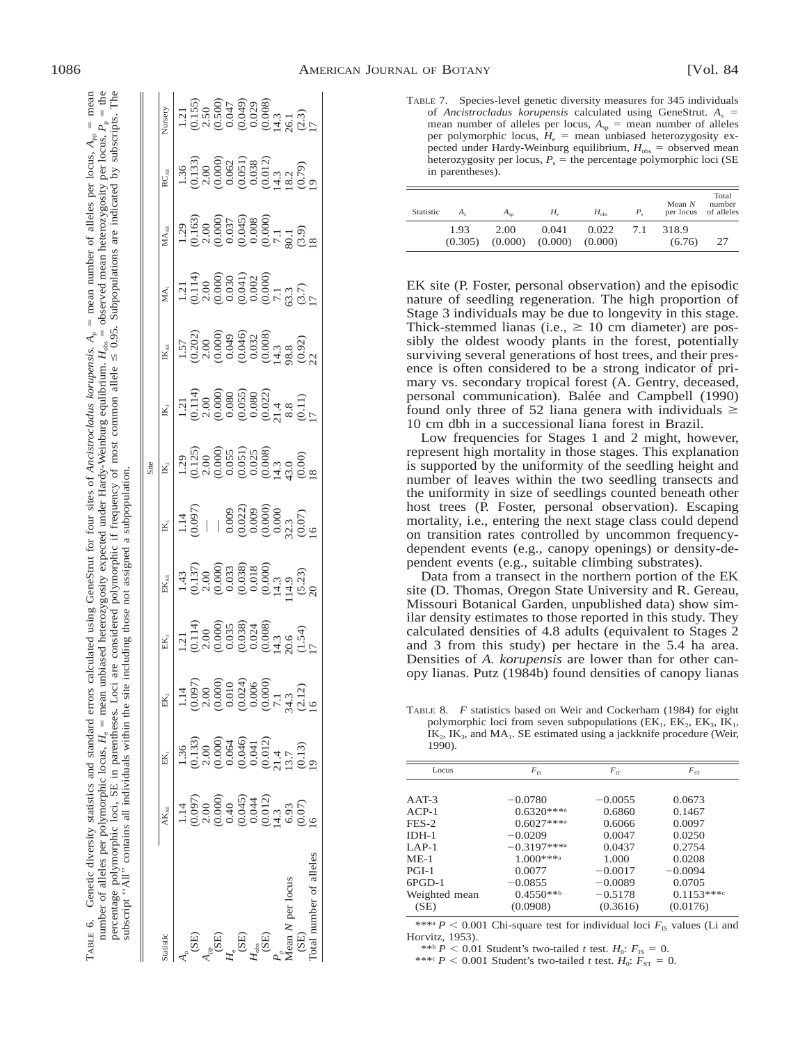| TABLE 6. Genetic diversity statistics and standard errors calculated using GeneStrut for four sites of Ancistrocladus korupensis. $A_n$ = mean number of alleles per locus, $A_m$ = mean | y expected under Hardy-Weinburg equilibrium. $H_{\text{obs}} =$ observed mean heterozygosity per locus, $P_p =$ the | f frequency of most common allele $\leq 0.95$ . Subpopulations are indicated by subscript | ot assigned a st                                         |
|------------------------------------------------------------------------------------------------------------------------------------------------------------------------------------------|---------------------------------------------------------------------------------------------------------------------|-------------------------------------------------------------------------------------------|----------------------------------------------------------|
|                                                                                                                                                                                          | eterozygosity                                                                                                       | considered *                                                                              | melliding to                                             |
|                                                                                                                                                                                          | number of alleles per polymorphic locus, $H_e =$ mean un                                                            | percentage polymorphic loci, SE in parentheses. Loci .                                    | subscript "All" contains all individuals within the site |

|                    |                                                                                                                |                                                                                                                                                                                                                                                                                              |                                                                                                 |                                                                                                                                                                                                                                                                                                                                   |                                                                                                                                 | Site                                                                                                                                                                             |                                                                                                                                                                                                                                                                                                  |                                                                                                                                                                              |                                                                                                                                                                                                                                                                                                                                 |                                                                                                                                                                                                                                                                                                     |                                                                                                                                                      |                                                                                                                                          |
|--------------------|----------------------------------------------------------------------------------------------------------------|----------------------------------------------------------------------------------------------------------------------------------------------------------------------------------------------------------------------------------------------------------------------------------------------|-------------------------------------------------------------------------------------------------|-----------------------------------------------------------------------------------------------------------------------------------------------------------------------------------------------------------------------------------------------------------------------------------------------------------------------------------|---------------------------------------------------------------------------------------------------------------------------------|----------------------------------------------------------------------------------------------------------------------------------------------------------------------------------|--------------------------------------------------------------------------------------------------------------------------------------------------------------------------------------------------------------------------------------------------------------------------------------------------|------------------------------------------------------------------------------------------------------------------------------------------------------------------------------|---------------------------------------------------------------------------------------------------------------------------------------------------------------------------------------------------------------------------------------------------------------------------------------------------------------------------------|-----------------------------------------------------------------------------------------------------------------------------------------------------------------------------------------------------------------------------------------------------------------------------------------------------|------------------------------------------------------------------------------------------------------------------------------------------------------|------------------------------------------------------------------------------------------------------------------------------------------|
| atistic            |                                                                                                                | EK.                                                                                                                                                                                                                                                                                          | EK,                                                                                             | $\mathbf{EK}_\mathrm{AB}$                                                                                                                                                                                                                                                                                                         | $\mathbb{R}$                                                                                                                    | $\mathbb{K}^3$                                                                                                                                                                   | $\mathbb{K}$                                                                                                                                                                                                                                                                                     | $\mathbb{K}_{\text{AB}}$                                                                                                                                                     | MA <sub>1</sub>                                                                                                                                                                                                                                                                                                                 | $\mathbf{M}\mathbf{A}_\mathrm{All}$                                                                                                                                                                                                                                                                 | RC <sub>AH</sub>                                                                                                                                     | Vursery                                                                                                                                  |
|                    |                                                                                                                |                                                                                                                                                                                                                                                                                              |                                                                                                 |                                                                                                                                                                                                                                                                                                                                   |                                                                                                                                 |                                                                                                                                                                                  |                                                                                                                                                                                                                                                                                                  |                                                                                                                                                                              |                                                                                                                                                                                                                                                                                                                                 |                                                                                                                                                                                                                                                                                                     |                                                                                                                                                      |                                                                                                                                          |
|                    |                                                                                                                |                                                                                                                                                                                                                                                                                              |                                                                                                 | $\begin{array}{l} 1.43 \\ -0.137) \\ -0.00 \\ -0.000 \\ -0.033 \\ -0.0138 \\ -0.010 \\ -0.010 \\ -0.010 \\ -0.010 \\ -0.010 \\ -0.010 \\ -0.010 \\ -0.010 \\ -0.010 \\ -0.010 \\ -0.010 \\ -0.010 \\ -0.010 \\ -0.010 \\ -0.010 \\ -0.010 \\ -0.010 \\ -0.010 \\ -0.010 \\ -0.010 \\ -0.010 \\ -0.010 \\ -0.010 \\ -0.010 \\ -0.$ | $\frac{1.14}{0.097}$                                                                                                            | $(1, 2)$<br>$(1, 2)$<br>$(2, 3)$<br>$(3, 0)$<br>$(5, 0)$<br>$(5, 0)$<br>$(5, 0)$<br>$(5, 0)$<br>$(5, 0)$<br>$(5, 0)$<br>$(5, 0)$<br>$(5, 0)$<br>$(5, 0)$<br>$(5, 0)$<br>$(5, 0)$ | $\begin{smallmatrix} 1.21 & 1.4 \\ -0.114 & 0.000 \\ -0.0000 & 0.0000 \\ -0.0000 & 0.0000 \\ -0.0000 & 0.0000 \\ -0.0000 & 0.0000 \\ -0.0000 & 0.0000 \\ -0.0000 & 0.0000 \\ -0.0000 & 0.0000 \\ -0.0000 & 0.0000 \\ -0.0000 & 0.0000 \\ -0.0000 & 0.0000 \\ -0.0000 & 0.0000 \\ -0.0000 & 0.00$ | $1.522$<br>$1.303$<br>$1.303$<br>$1.303$<br>$1.303$<br>$1.303$<br>$1.303$<br>$1.303$<br>$1.303$<br>$1.303$<br>$1.303$<br>$1.303$<br>$1.303$<br>$1.303$<br>$1.303$<br>$1.303$ | $\begin{array}{l} 1.21 \\[-2.0ex] -1.21 \\[-2.0ex] -1.44 \\[-2.0ex] -1.44 \\[-2.0ex] -1.44 \\[-2.0ex] -1.44 \\[-2.0ex] -1.44 \\[-2.0ex] -1.44 \\[-2.0ex] -1.44 \\[-2.0ex] -1.44 \\[-2.0ex] -1.44 \\[-2.0ex] -1.44 \\[-2.0ex] -1.44 \\[-2.0ex] -1.44 \\[-2.0ex] -1.44 \\[-2.0ex] -1.44 \\[-2.0ex] -1.44 \\[-2.0ex] -1.44 \\[-2.$ | $\begin{array}{l} 1.29\\ -1.63)\\ -1.63)\\ -1.63)\\ -1.63)\\ -1.63)\\ -1.63)\\ -1.63)\\ -1.63)\\ -1.63)\\ -1.63)\\ -1.63)\\ -1.63)\\ -1.63)\\ -1.63)\\ -1.63)\\ -1.63)\\ -1.63)\\ -1.63)\\ -1.63)\\ -1.63)\\ -1.63)\\ -1.63)\\ -1.63)\\ -1.63)\\ -1.63)\\ -1.63)\\ -1.63)\\ -1.63)\\ -1.63)\\ -1.6$ | $1.36$<br>$(0.133)$<br>$(0.000)$<br>$(0.000)$<br>$(0.000)$<br>$(0.000)$<br>$(0.000)$<br>$(0.000)$<br>$(0.000)$<br>$(0.000)$<br>$(0.000)$<br>$(0.00)$ | $1.21$<br>$1.56$<br>$0.50$<br>$0.60$<br>$0.60$<br>$0.60$<br>$0.60$<br>$0.60$<br>$0.76$<br>$0.76$<br>$0.76$<br>$0.76$<br>$0.76$<br>$0.76$ |
|                    |                                                                                                                |                                                                                                                                                                                                                                                                                              |                                                                                                 |                                                                                                                                                                                                                                                                                                                                   |                                                                                                                                 |                                                                                                                                                                                  |                                                                                                                                                                                                                                                                                                  |                                                                                                                                                                              |                                                                                                                                                                                                                                                                                                                                 |                                                                                                                                                                                                                                                                                                     |                                                                                                                                                      |                                                                                                                                          |
|                    | $(0.097)$<br>$(0.000)$<br>$(0.000)$<br>$(0.040)$<br>$(0.040)$<br>$(0.012)$<br>$(0.07)$<br>$(0.07)$<br>$(0.07)$ | $\begin{array}{l} (0.133)\\ (0.130)\\ (0.000)\\ (0.000)\\ (0.0046)\\ (0.0044)\\ (0.0044)\\ (0.011)\\ (0.011)\\ (0.011)\\ (0.011)\\ (0.011)\\ (0.011)\\ (0.011)\\ (0.011)\\ (0.011)\\ (0.011)\\ (0.011)\\ (0.011)\\ (0.011)\\ (0.011)\\ (0.011)\\ (0.011)\\ (0.011)\\ (0.011)\\ (0.011)\\ (0$ |                                                                                                 |                                                                                                                                                                                                                                                                                                                                   |                                                                                                                                 |                                                                                                                                                                                  |                                                                                                                                                                                                                                                                                                  |                                                                                                                                                                              |                                                                                                                                                                                                                                                                                                                                 |                                                                                                                                                                                                                                                                                                     |                                                                                                                                                      |                                                                                                                                          |
|                    |                                                                                                                |                                                                                                                                                                                                                                                                                              |                                                                                                 |                                                                                                                                                                                                                                                                                                                                   |                                                                                                                                 |                                                                                                                                                                                  |                                                                                                                                                                                                                                                                                                  |                                                                                                                                                                              |                                                                                                                                                                                                                                                                                                                                 |                                                                                                                                                                                                                                                                                                     |                                                                                                                                                      |                                                                                                                                          |
| (SE)               |                                                                                                                |                                                                                                                                                                                                                                                                                              |                                                                                                 |                                                                                                                                                                                                                                                                                                                                   |                                                                                                                                 |                                                                                                                                                                                  |                                                                                                                                                                                                                                                                                                  |                                                                                                                                                                              |                                                                                                                                                                                                                                                                                                                                 |                                                                                                                                                                                                                                                                                                     |                                                                                                                                                      |                                                                                                                                          |
|                    |                                                                                                                |                                                                                                                                                                                                                                                                                              |                                                                                                 |                                                                                                                                                                                                                                                                                                                                   |                                                                                                                                 |                                                                                                                                                                                  |                                                                                                                                                                                                                                                                                                  |                                                                                                                                                                              |                                                                                                                                                                                                                                                                                                                                 |                                                                                                                                                                                                                                                                                                     |                                                                                                                                                      |                                                                                                                                          |
| $H_{\rm obs}$ (SE) |                                                                                                                |                                                                                                                                                                                                                                                                                              | $(0.000)$<br>$0.038$<br>$0.034$<br>$0.0008$<br>$0.0008$<br>$0.54$<br>$0.54$<br>$0.54$<br>$0.54$ |                                                                                                                                                                                                                                                                                                                                   | $\begin{array}{l} 0.009\\ 0.022)\\ 0.000\\ 0.000\\ 0.000\\ 0.000\\ 0.07)\\ 0.07)\\ 0.07)\\ 0.07)\\ 0.07)\\ 0.07)\\ \end{array}$ |                                                                                                                                                                                  |                                                                                                                                                                                                                                                                                                  |                                                                                                                                                                              |                                                                                                                                                                                                                                                                                                                                 |                                                                                                                                                                                                                                                                                                     |                                                                                                                                                      |                                                                                                                                          |
|                    |                                                                                                                |                                                                                                                                                                                                                                                                                              |                                                                                                 |                                                                                                                                                                                                                                                                                                                                   |                                                                                                                                 |                                                                                                                                                                                  |                                                                                                                                                                                                                                                                                                  |                                                                                                                                                                              |                                                                                                                                                                                                                                                                                                                                 |                                                                                                                                                                                                                                                                                                     |                                                                                                                                                      |                                                                                                                                          |
| $M$ ean $\cal N$   |                                                                                                                |                                                                                                                                                                                                                                                                                              |                                                                                                 |                                                                                                                                                                                                                                                                                                                                   |                                                                                                                                 |                                                                                                                                                                                  |                                                                                                                                                                                                                                                                                                  |                                                                                                                                                                              |                                                                                                                                                                                                                                                                                                                                 |                                                                                                                                                                                                                                                                                                     |                                                                                                                                                      |                                                                                                                                          |
|                    |                                                                                                                |                                                                                                                                                                                                                                                                                              |                                                                                                 |                                                                                                                                                                                                                                                                                                                                   |                                                                                                                                 |                                                                                                                                                                                  |                                                                                                                                                                                                                                                                                                  |                                                                                                                                                                              |                                                                                                                                                                                                                                                                                                                                 |                                                                                                                                                                                                                                                                                                     |                                                                                                                                                      |                                                                                                                                          |
|                    |                                                                                                                |                                                                                                                                                                                                                                                                                              |                                                                                                 |                                                                                                                                                                                                                                                                                                                                   |                                                                                                                                 |                                                                                                                                                                                  |                                                                                                                                                                                                                                                                                                  |                                                                                                                                                                              |                                                                                                                                                                                                                                                                                                                                 |                                                                                                                                                                                                                                                                                                     |                                                                                                                                                      |                                                                                                                                          |
|                    |                                                                                                                |                                                                                                                                                                                                                                                                                              |                                                                                                 |                                                                                                                                                                                                                                                                                                                                   |                                                                                                                                 |                                                                                                                                                                                  |                                                                                                                                                                                                                                                                                                  |                                                                                                                                                                              |                                                                                                                                                                                                                                                                                                                                 |                                                                                                                                                                                                                                                                                                     |                                                                                                                                                      |                                                                                                                                          |

TABLE 7. Species-level genetic diversity measures for 345 individuals of *Ancistrocladus korupensis* calculated using GeneStrut.  $A_s$  = mean number of alleles per locus,  $A_{\rm{sp}}$  = mean number of alleles per polymorphic locus,  $H_e$  = mean unbiased heterozygosity expected under Hardy-Weinburg equilibrium,  $H_{obs}$  = observed mean heterozygosity per locus,  $P_s$  = the percentage polymorphic loci (SE in parentheses).

| Statistic |                 | $A_{sn}$        | Н.               | $H_{\rm obs}$    | Р.  | Mean $N$<br>per locus | Total<br>number<br>of alleles |
|-----------|-----------------|-----------------|------------------|------------------|-----|-----------------------|-------------------------------|
|           | 1.93<br>(0.305) | 2.00<br>(0.000) | 0.041<br>(0.000) | 0.022<br>(0.000) | 7.1 | 318.9<br>(6.76)       | 27                            |

EK site (P. Foster, personal observation) and the episodic nature of seedling regeneration. The high proportion of Stage 3 individuals may be due to longevity in this stage. Thick-stemmed lianas (i.e.,  $\geq 10$  cm diameter) are possibly the oldest woody plants in the forest, potentially surviving several generations of host trees, and their presence is often considered to be a strong indicator of primary vs. secondary tropical forest (A. Gentry, deceased, personal communication). Balée and Campbell (1990) found only three of 52 liana genera with individuals  $\geq$ 10 cm dbh in a successional liana forest in Brazil.

Low frequencies for Stages 1 and 2 might, however, represent high mortality in those stages. This explanation is supported by the uniformity of the seedling height and number of leaves within the two seedling transects and the uniformity in size of seedlings counted beneath other host trees (P. Foster, personal observation). Escaping mortality, i.e., entering the next stage class could depend on transition rates controlled by uncommon frequencydependent events (e.g., canopy openings) or density-dependent events (e.g., suitable climbing substrates).

Data from a transect in the northern portion of the EK site (D. Thomas, Oregon State University and R. Gereau, Missouri Botanical Garden, unpublished data) show similar density estimates to those reported in this study. They calculated densities of 4.8 adults (equivalent to Stages 2 and 3 from this study) per hectare in the 5.4 ha area. Densities of *A. korupensis* are lower than for other canopy lianas. Putz (1984b) found densities of canopy lianas

TABLE 8. *F* statistics based on Weir and Cockerham (1984) for eight polymorphic loci from seven subpopulations ( $EK_1$ ,  $EK_2$ ,  $EK_3$ ,  $IK_1$ ,  $IK_2$ ,  $IK_3$ , and  $MA_1$ . SE estimated using a jackknife procedure (Weir, 1990).

| Locus         | $F_{\rm IS}$ | $F_{\rm IT}$ | $F_{ST}$    |
|---------------|--------------|--------------|-------------|
|               |              |              |             |
| $AAT-3$       | $-0.0780$    | $-0.0055$    | 0.0673      |
| $ACP-1$       | $0.6320***$  | 0.6860       | 0.1467      |
| $FES-2$       | $0.6027***$  | 0.6066       | 0.0097      |
| $IDH-1$       | $-0.0209$    | 0.0047       | 0.0250      |
| $LAP-1$       | $-0.3197***$ | 0.0437       | 0.2754      |
| $ME-1$        | $1.000***$   | 1.000        | 0.0208      |
| $PGI-1$       | 0.0077       | $-0.0017$    | $-0.0094$   |
| $6PGD-1$      | $-0.0855$    | $-0.0089$    | 0.0705      |
| Weighted mean | $0.4550***$  | $-0.5178$    | $0.1153***$ |
| (SE)          | (0.0908)     | (0.3616)     | (0.0176)    |

\*\*\*a  $P < 0.001$  Chi-square test for individual loci  $F_{\text{IS}}$  values (Li and Horvitz, 1953).

\*\*b  $P < 0.01$  Student's two-tailed *t* test.  $H_0$ :  $F_{\text{IS}} = 0$ .

\*\*\*c  $P < 0.001$  Student's two-tailed *t* test.  $H_0$ :  $\overline{F}_{ST} = 0$ .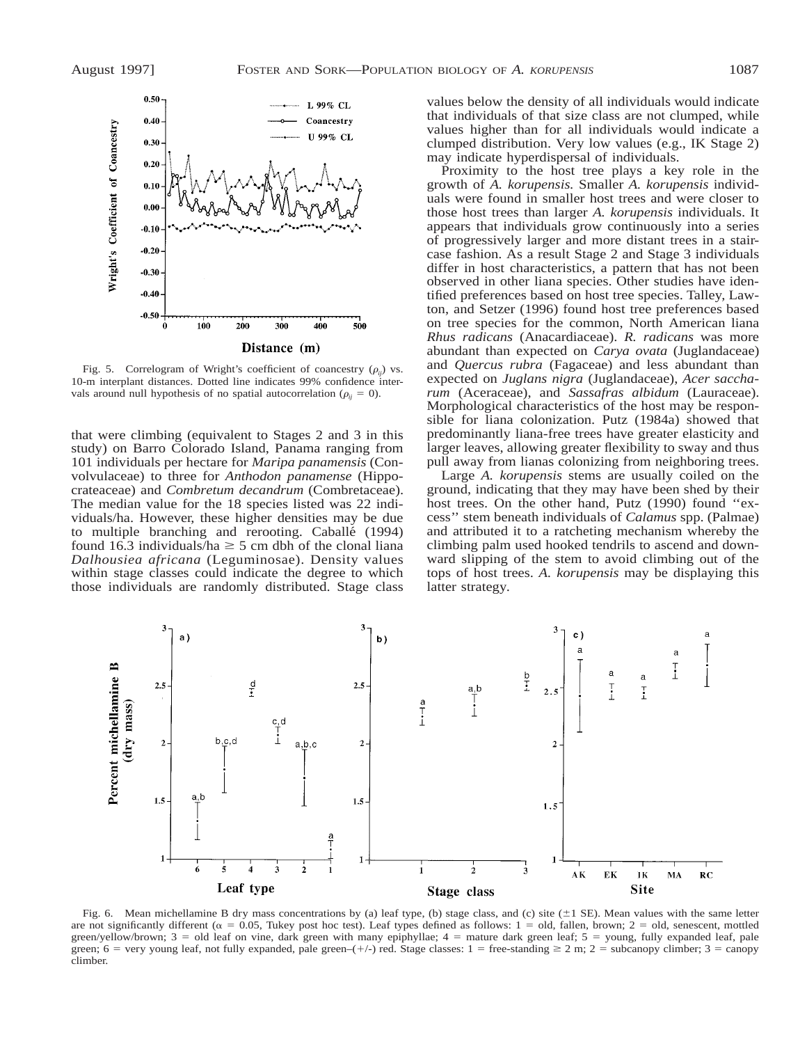

Fig. 5. Correlogram of Wright's coefficient of coancestry  $(\rho_{ii})$  vs. 10-m interplant distances. Dotted line indicates 99% confidence intervals around null hypothesis of no spatial autocorrelation ( $\rho_{ii} = 0$ ).

that were climbing (equivalent to Stages 2 and 3 in this study) on Barro Colorado Island, Panama ranging from 101 individuals per hectare for *Maripa panamensis* (Convolvulaceae) to three for *Anthodon panamense* (Hippocrateaceae) and *Combretum decandrum* (Combretaceae). The median value for the 18 species listed was 22 individuals/ha. However, these higher densities may be due to multiple branching and rerooting. Caballe´ (1994) found 16.3 individuals/ha  $\geq$  5 cm dbh of the clonal liana *Dalhousiea africana* (Leguminosae). Density values within stage classes could indicate the degree to which those individuals are randomly distributed. Stage class

values below the density of all individuals would indicate that individuals of that size class are not clumped, while values higher than for all individuals would indicate a clumped distribution. Very low values (e.g., IK Stage 2) may indicate hyperdispersal of individuals.

Proximity to the host tree plays a key role in the growth of *A. korupensis.* Smaller *A. korupensis* individuals were found in smaller host trees and were closer to those host trees than larger *A. korupensis* individuals. It appears that individuals grow continuously into a series of progressively larger and more distant trees in a staircase fashion. As a result Stage 2 and Stage 3 individuals differ in host characteristics, a pattern that has not been observed in other liana species. Other studies have identified preferences based on host tree species. Talley, Lawton, and Setzer (1996) found host tree preferences based on tree species for the common, North American liana *Rhus radicans* (Anacardiaceae). *R. radicans* was more abundant than expected on *Carya ovata* (Juglandaceae) and *Quercus rubra* (Fagaceae) and less abundant than expected on *Juglans nigra* (Juglandaceae), *Acer saccharum* (Aceraceae), and *Sassafras albidum* (Lauraceae). Morphological characteristics of the host may be responsible for liana colonization. Putz (1984a) showed that predominantly liana-free trees have greater elasticity and larger leaves, allowing greater flexibility to sway and thus pull away from lianas colonizing from neighboring trees.

Large *A. korupensis* stems are usually coiled on the ground, indicating that they may have been shed by their host trees. On the other hand, Putz (1990) found ''excess'' stem beneath individuals of *Calamus* spp. (Palmae) and attributed it to a ratcheting mechanism whereby the climbing palm used hooked tendrils to ascend and downward slipping of the stem to avoid climbing out of the tops of host trees. *A. korupensis* may be displaying this latter strategy.



Fig. 6. Mean michellamine B dry mass concentrations by (a) leaf type, (b) stage class, and (c) site  $(\pm 1 \text{ SE})$ . Mean values with the same letter are not significantly different ( $\alpha = 0.05$ , Tukey post hoc test). Leaf types defined as follows: 1 = old, fallen, brown; 2 = old, senescent, mottled green/yellow/brown;  $3 =$  old leaf on vine, dark green with many epiphyllae;  $4 =$  mature dark green leaf;  $5 =$  young, fully expanded leaf, pale green; 6 = very young leaf, not fully expanded, pale green–(+/-) red. Stage classes: 1 = free-standing  $\geq 2$  m; 2 = subcanopy climber; 3 = canopy climber.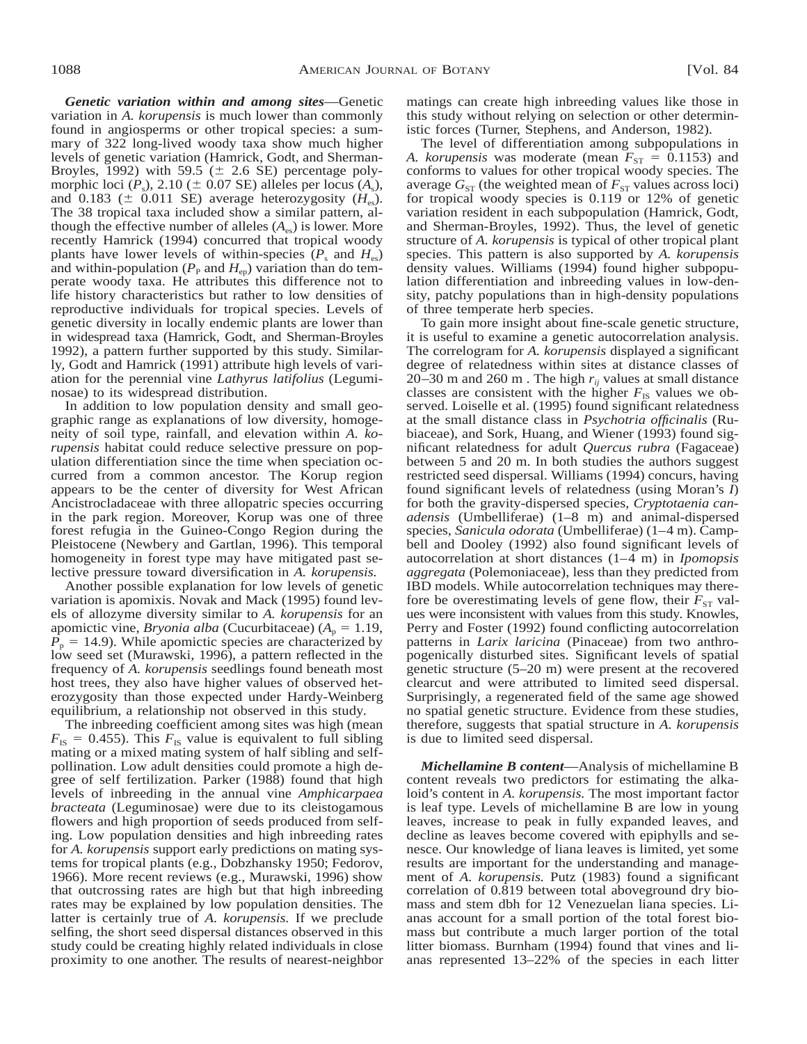*Genetic variation within and among sites*—Genetic variation in *A. korupensis* is much lower than commonly found in angiosperms or other tropical species: a summary of 322 long-lived woody taxa show much higher levels of genetic variation (Hamrick, Godt, and Sherman-Broyles, 1992) with 59.5 ( $\pm$  2.6 SE) percentage polymorphic loci  $(P_s)$ , 2.10 ( $\pm$  0.07 SE) alleles per locus  $(A_s)$ , and 0.183 ( $\pm$  0.011 SE) average heterozygosity ( $H_{\text{es}}$ ). The 38 tropical taxa included show a similar pattern, although the effective number of alleles  $(A_{\infty})$  is lower. More recently Hamrick (1994) concurred that tropical woody plants have lower levels of within-species  $(P_s \text{ and } H_{es})$ and within-population ( $P_{\rm P}$  and  $H_{\rm ep}$ ) variation than do temperate woody taxa. He attributes this difference not to life history characteristics but rather to low densities of reproductive individuals for tropical species. Levels of genetic diversity in locally endemic plants are lower than in widespread taxa (Hamrick, Godt, and Sherman-Broyles 1992), a pattern further supported by this study. Similarly, Godt and Hamrick (1991) attribute high levels of variation for the perennial vine *Lathyrus latifolius* (Leguminosae) to its widespread distribution.

In addition to low population density and small geographic range as explanations of low diversity, homogeneity of soil type, rainfall, and elevation within *A. korupensis* habitat could reduce selective pressure on population differentiation since the time when speciation occurred from a common ancestor. The Korup region appears to be the center of diversity for West African Ancistrocladaceae with three allopatric species occurring in the park region. Moreover, Korup was one of three forest refugia in the Guineo-Congo Region during the Pleistocene (Newbery and Gartlan, 1996). This temporal homogeneity in forest type may have mitigated past selective pressure toward diversification in *A. korupensis.*

Another possible explanation for low levels of genetic variation is apomixis. Novak and Mack (1995) found levels of allozyme diversity similar to *A. korupensis* for an apomictic vine, *Bryonia alba* (Cucurbitaceae)  $(A_p = 1.19)$ ,  $P_p = 14.9$ ). While apomictic species are characterized by low seed set (Murawski, 1996), a pattern reflected in the frequency of *A. korupensis* seedlings found beneath most host trees, they also have higher values of observed heterozygosity than those expected under Hardy-Weinberg equilibrium, a relationship not observed in this study.

The inbreeding coefficient among sites was high (mean  $F_{\text{IS}} = 0.455$ ). This  $F_{\text{IS}}$  value is equivalent to full sibling mating or a mixed mating system of half sibling and selfpollination. Low adult densities could promote a high degree of self fertilization. Parker (1988) found that high levels of inbreeding in the annual vine *Amphicarpaea bracteata* (Leguminosae) were due to its cleistogamous flowers and high proportion of seeds produced from selfing. Low population densities and high inbreeding rates for *A. korupensis* support early predictions on mating systems for tropical plants (e.g., Dobzhansky 1950; Fedorov, 1966). More recent reviews (e.g., Murawski, 1996) show that outcrossing rates are high but that high inbreeding rates may be explained by low population densities. The latter is certainly true of *A. korupensis.* If we preclude selfing, the short seed dispersal distances observed in this study could be creating highly related individuals in close proximity to one another. The results of nearest-neighbor matings can create high inbreeding values like those in this study without relying on selection or other deterministic forces (Turner, Stephens, and Anderson, 1982).

The level of differentiation among subpopulations in *A. korupensis* was moderate (mean  $F_{ST} = 0.1153$ ) and conforms to values for other tropical woody species. The average  $G_{ST}$  (the weighted mean of  $F_{ST}$  values across loci) for tropical woody species is 0.119 or 12% of genetic variation resident in each subpopulation (Hamrick, Godt, and Sherman-Broyles, 1992). Thus, the level of genetic structure of *A. korupensis* is typical of other tropical plant species. This pattern is also supported by *A. korupensis* density values. Williams (1994) found higher subpopulation differentiation and inbreeding values in low-density, patchy populations than in high-density populations of three temperate herb species.

To gain more insight about fine-scale genetic structure, it is useful to examine a genetic autocorrelation analysis. The correlogram for *A. korupensis* displayed a significant degree of relatedness within sites at distance classes of 20–30 m and 260 m. The high  $r_{ii}$  values at small distance classes are consistent with the higher  $F_{\text{IS}}$  values we observed. Loiselle et al. (1995) found significant relatedness at the small distance class in *Psychotria officinalis* (Rubiaceae), and Sork, Huang, and Wiener (1993) found significant relatedness for adult *Quercus rubra* (Fagaceae) between 5 and 20 m. In both studies the authors suggest restricted seed dispersal. Williams (1994) concurs, having found significant levels of relatedness (using Moran's *I*) for both the gravity-dispersed species, *Cryptotaenia canadensis* (Umbelliferae) (1–8 m) and animal-dispersed species, *Sanicula odorata* (Umbelliferae) (1–4 m). Campbell and Dooley (1992) also found significant levels of autocorrelation at short distances (1–4 m) in *Ipomopsis aggregata* (Polemoniaceae), less than they predicted from IBD models. While autocorrelation techniques may therefore be overestimating levels of gene flow, their  $F_{ST}$  values were inconsistent with values from this study. Knowles, Perry and Foster (1992) found conflicting autocorrelation patterns in *Larix laricina* (Pinaceae) from two anthropogenically disturbed sites. Significant levels of spatial genetic structure (5–20 m) were present at the recovered clearcut and were attributed to limited seed dispersal. Surprisingly, a regenerated field of the same age showed no spatial genetic structure. Evidence from these studies, therefore, suggests that spatial structure in *A. korupensis* is due to limited seed dispersal.

*Michellamine B content*—Analysis of michellamine B content reveals two predictors for estimating the alkaloid's content in *A. korupensis.* The most important factor is leaf type. Levels of michellamine B are low in young leaves, increase to peak in fully expanded leaves, and decline as leaves become covered with epiphylls and senesce. Our knowledge of liana leaves is limited, yet some results are important for the understanding and management of *A. korupensis.* Putz (1983) found a significant correlation of 0.819 between total aboveground dry biomass and stem dbh for 12 Venezuelan liana species. Lianas account for a small portion of the total forest biomass but contribute a much larger portion of the total litter biomass. Burnham (1994) found that vines and lianas represented 13–22% of the species in each litter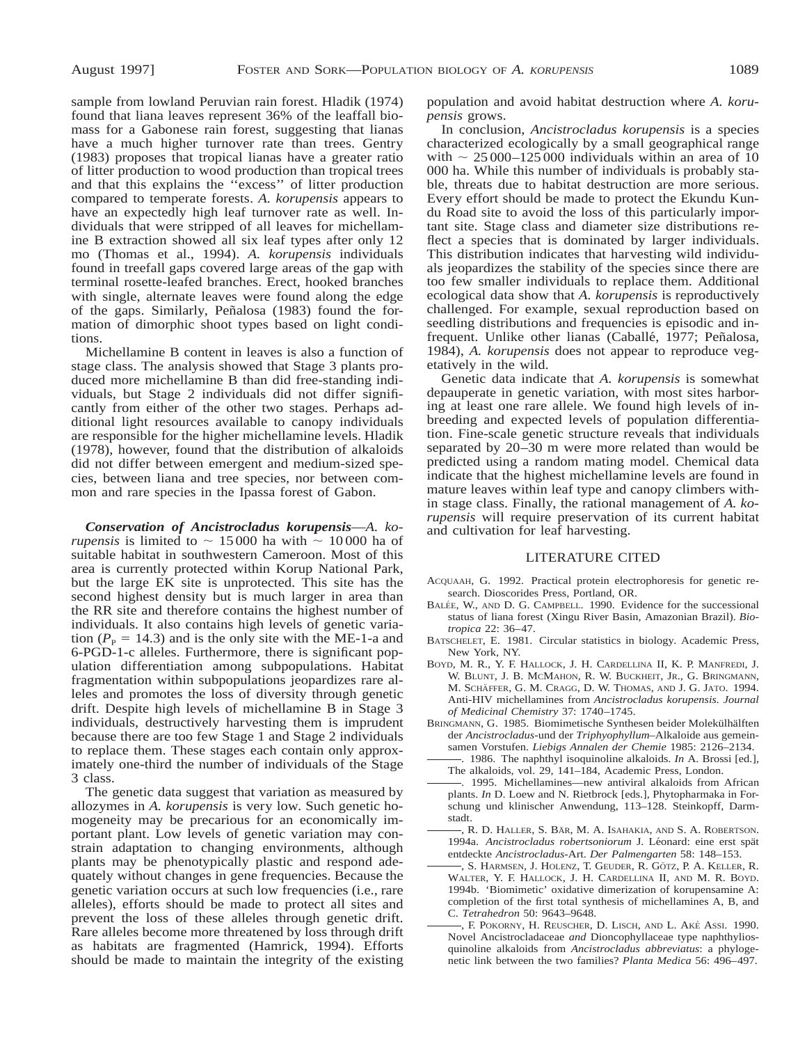sample from lowland Peruvian rain forest. Hladik (1974) found that liana leaves represent 36% of the leaffall biomass for a Gabonese rain forest, suggesting that lianas have a much higher turnover rate than trees. Gentry (1983) proposes that tropical lianas have a greater ratio of litter production to wood production than tropical trees and that this explains the ''excess'' of litter production compared to temperate forests. *A. korupensis* appears to have an expectedly high leaf turnover rate as well. Individuals that were stripped of all leaves for michellamine B extraction showed all six leaf types after only 12 mo (Thomas et al., 1994). *A. korupensis* individuals found in treefall gaps covered large areas of the gap with terminal rosette-leafed branches. Erect, hooked branches with single, alternate leaves were found along the edge of the gaps. Similarly, Peñalosa (1983) found the formation of dimorphic shoot types based on light conditions.

Michellamine B content in leaves is also a function of stage class. The analysis showed that Stage 3 plants produced more michellamine B than did free-standing individuals, but Stage 2 individuals did not differ significantly from either of the other two stages. Perhaps additional light resources available to canopy individuals are responsible for the higher michellamine levels. Hladik (1978), however, found that the distribution of alkaloids did not differ between emergent and medium-sized species, between liana and tree species, nor between common and rare species in the Ipassa forest of Gabon.

*Conservation of Ancistrocladus korupensis*—*A. korupensis* is limited to  $\sim$  15000 ha with  $\sim$  10000 ha of suitable habitat in southwestern Cameroon. Most of this area is currently protected within Korup National Park, but the large EK site is unprotected. This site has the second highest density but is much larger in area than the RR site and therefore contains the highest number of individuals. It also contains high levels of genetic variation ( $P_P = 14.3$ ) and is the only site with the ME-1-a and 6-PGD-1-c alleles. Furthermore, there is significant population differentiation among subpopulations. Habitat fragmentation within subpopulations jeopardizes rare alleles and promotes the loss of diversity through genetic drift. Despite high levels of michellamine B in Stage 3 individuals, destructively harvesting them is imprudent because there are too few Stage 1 and Stage 2 individuals to replace them. These stages each contain only approximately one-third the number of individuals of the Stage 3 class.

The genetic data suggest that variation as measured by allozymes in *A. korupensis* is very low. Such genetic homogeneity may be precarious for an economically important plant. Low levels of genetic variation may constrain adaptation to changing environments, although plants may be phenotypically plastic and respond adequately without changes in gene frequencies. Because the genetic variation occurs at such low frequencies (i.e., rare alleles), efforts should be made to protect all sites and prevent the loss of these alleles through genetic drift. Rare alleles become more threatened by loss through drift as habitats are fragmented (Hamrick, 1994). Efforts should be made to maintain the integrity of the existing

population and avoid habitat destruction where *A. korupensis* grows.

In conclusion, *Ancistrocladus korupensis* is a species characterized ecologically by a small geographical range with  $\sim 25000$ –125 000 individuals within an area of 10 000 ha. While this number of individuals is probably stable, threats due to habitat destruction are more serious. Every effort should be made to protect the Ekundu Kundu Road site to avoid the loss of this particularly important site. Stage class and diameter size distributions reflect a species that is dominated by larger individuals. This distribution indicates that harvesting wild individuals jeopardizes the stability of the species since there are too few smaller individuals to replace them. Additional ecological data show that *A. korupensis* is reproductively challenged. For example, sexual reproduction based on seedling distributions and frequencies is episodic and infrequent. Unlike other lianas (Caballé, 1977; Peñalosa, 1984), *A. korupensis* does not appear to reproduce vegetatively in the wild.

Genetic data indicate that *A. korupensis* is somewhat depauperate in genetic variation, with most sites harboring at least one rare allele. We found high levels of inbreeding and expected levels of population differentiation. Fine-scale genetic structure reveals that individuals separated by 20–30 m were more related than would be predicted using a random mating model. Chemical data indicate that the highest michellamine levels are found in mature leaves within leaf type and canopy climbers within stage class. Finally, the rational management of *A. korupensis* will require preservation of its current habitat and cultivation for leaf harvesting.

### LITERATURE CITED

- ACQUAAH, G. 1992. Practical protein electrophoresis for genetic research. Dioscorides Press, Portland, OR.
- BALÉE, W., AND D. G. CAMPBELL. 1990. Evidence for the successional status of liana forest (Xingu River Basin, Amazonian Brazil). *Biotropica* 22: 36–47.
- BATSCHELET, E. 1981. Circular statistics in biology. Academic Press, New York, NY.
- BOYD, M. R., Y. F. HALLOCK, J. H. CARDELLINA II, K. P. MANFREDI, J. W. BLUNT, J. B. MCMAHON, R. W. BUCKHEIT, JR., G. BRINGMANN, M. SCHÄFFER, G. M. CRAGG, D. W. THOMAS, AND J. G. JATO. 1994. Anti-HIV michellamines from *Ancistrocladus korupensis. Journal of Medicinal Chemistry* 37: 1740–1745.
- BRINGMANN, G. 1985. Biomimetische Synthesen beider Molekülhälften der *Ancistrocladus*-und der *Triphyophyllum*–Alkaloide aus gemeinsamen Vorstufen. *Liebigs Annalen der Chemie* 1985: 2126–2134.
- . 1986. The naphthyl isoquinoline alkaloids. *In* A. Brossi [ed.], The alkaloids, vol. 29, 141–184, Academic Press, London.
- . 1995. Michellamines—new antiviral alkaloids from African plants. *In* D. Loew and N. Rietbrock [eds.], Phytopharmaka in Forschung und klinischer Anwendung, 113–128. Steinkopff, Darmstadt.
- , R. D. HALLER, S. BÄR, M. A. ISAHAKIA, AND S. A. ROBERTSON. 1994a. *Ancistrocladus robertsoniorum* J. Léonard: eine erst spät entdeckte *Ancistrocladus*-Art. *Der Palmengarten* 58: 148–153.
- , S. HARMSEN, J. HOLENZ, T. GEUDER, R. GÖTZ, P. A. KELLER, R. WALTER, Y. F. HALLOCK, J. H. CARDELLINA II, AND M. R. BOYD. 1994b. 'Biomimetic' oxidative dimerization of korupensamine A: completion of the first total synthesis of michellamines A, B, and C. *Tetrahedron* 50: 9643–9648.
- , F. POKORNY, H. REUSCHER, D. LISCH, AND L. AKE´ ASSI. 1990. Novel Ancistrocladaceae *and* Dioncophyllaceae type naphthyliosquinoline alkaloids from *Ancistrocladus abbreviatus*: a phylogenetic link between the two families? *Planta Medica* 56: 496–497.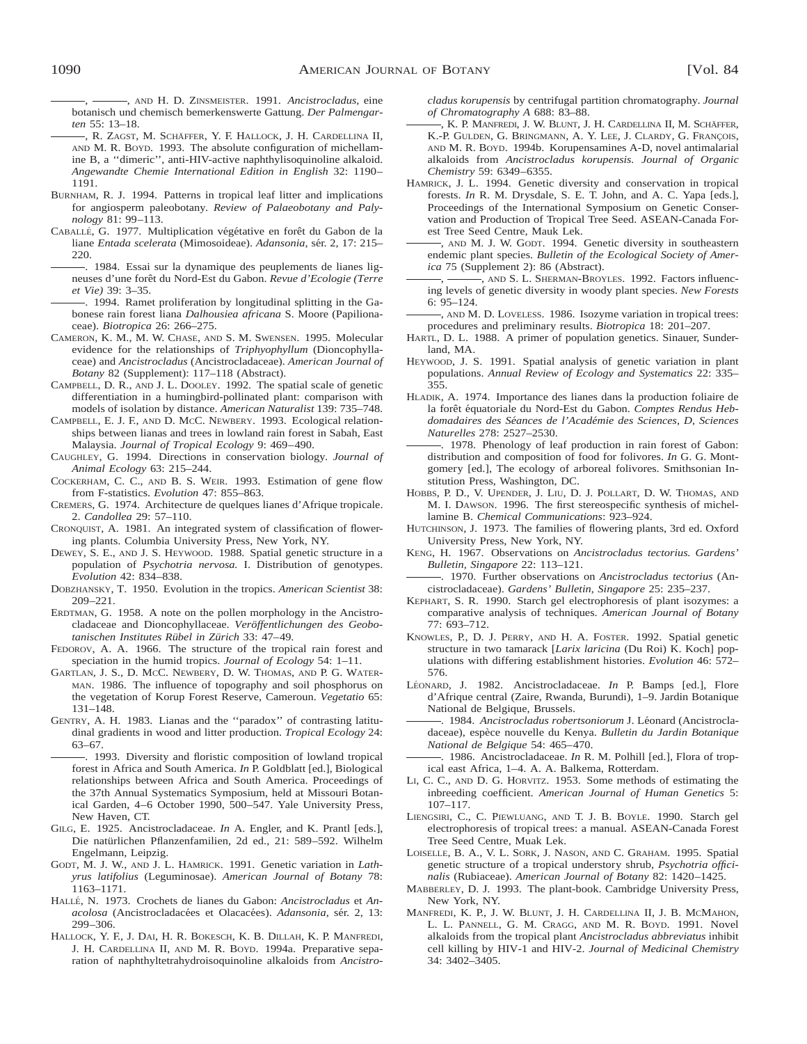, AND H. D. ZINSMEISTER. 1991. *Ancistrocladus*, eine botanisch und chemisch bemerkenswerte Gattung. *Der Palmengarten* 55: 13–18.

- –, R. ZAGST, M. SCHÄFFER, Y. F. HALLOCK, J. H. CARDELLINA II, AND M. R. BOYD. 1993. The absolute configuration of michellamine B, a ''dimeric'', anti-HIV-active naphthylisoquinoline alkaloid. *Angewandte Chemie International Edition in English* 32: 1190– 1191.
- BURNHAM, R. J. 1994. Patterns in tropical leaf litter and implications for angiosperm paleobotany. *Review of Palaeobotany and Palynology* 81: 99–113.
- CABALLÉ, G. 1977. Multiplication végétative en forêt du Gabon de la liane *Entada scelerata* (Mimosoideae). *Adansonia*, sér. 2, 17: 215– 220.
- . 1984. Essai sur la dynamique des peuplements de lianes ligneuses d'une forêt du Nord-Est du Gabon. Revue d'Ecologie (Terre *et Vie)* 39: 3–35.
- . 1994. Ramet proliferation by longitudinal splitting in the Gabonese rain forest liana *Dalhousiea africana* S. Moore (Papilionaceae). *Biotropica* 26: 266–275.
- CAMERON, K. M., M. W. CHASE, AND S. M. SWENSEN. 1995. Molecular evidence for the relationships of *Triphyophyllum* (Dioncophyllaceae) and *Ancistrocladus* (Ancistrocladaceae). *American Journal of Botany* 82 (Supplement): 117–118 (Abstract).
- CAMPBELL, D. R., AND J. L. DOOLEY. 1992. The spatial scale of genetic differentiation in a humingbird-pollinated plant: comparison with models of isolation by distance. *American Naturalist* 139: 735–748.
- CAMPBELL, E. J. F., AND D. MCC. NEWBERY. 1993. Ecological relationships between lianas and trees in lowland rain forest in Sabah, East Malaysia. *Journal of Tropical Ecology* 9: 469–490.
- CAUGHLEY, G. 1994. Directions in conservation biology. *Journal of Animal Ecology* 63: 215–244.
- COCKERHAM, C. C., AND B. S. WEIR. 1993. Estimation of gene flow from F-statistics. *Evolution* 47: 855–863.
- CREMERS, G. 1974. Architecture de quelques lianes d'Afrique tropicale. 2. *Candollea* 29: 57–110.
- CRONQUIST, A. 1981. An integrated system of classification of flowering plants. Columbia University Press, New York, NY.
- DEWEY, S. E., AND J. S. HEYWOOD. 1988. Spatial genetic structure in a population of *Psychotria nervosa.* I. Distribution of genotypes. *Evolution* 42: 834–838.
- DOBZHANSKY, T. 1950. Evolution in the tropics. *American Scientist* 38: 209–221.
- ERDTMAN, G. 1958. A note on the pollen morphology in the Ancistrocladaceae and Dioncophyllaceae. Veröffentlichungen des Geobo*tanischen Institutes Ru¨bel in Zu¨rich* 33: 47–49.
- FEDOROV, A. A. 1966. The structure of the tropical rain forest and speciation in the humid tropics. *Journal of Ecology* 54: 1–11.
- GARTLAN, J. S., D. MCC. NEWBERY, D. W. THOMAS, AND P. G. WATER-MAN. 1986. The influence of topography and soil phosphorus on the vegetation of Korup Forest Reserve, Cameroun. *Vegetatio* 65: 131–148.
- GENTRY, A. H. 1983. Lianas and the ''paradox'' of contrasting latitudinal gradients in wood and litter production. *Tropical Ecology* 24: 63–67.
- . 1993. Diversity and floristic composition of lowland tropical forest in Africa and South America. *In* P. Goldblatt [ed.], Biological relationships between Africa and South America. Proceedings of the 37th Annual Systematics Symposium, held at Missouri Botanical Garden, 4–6 October 1990, 500–547. Yale University Press, New Haven, CT.
- GILG, E. 1925. Ancistrocladaceae. *In* A. Engler, and K. Prantl [eds.], Die natürlichen Pflanzenfamilien, 2d ed., 21: 589–592. Wilhelm Engelmann, Leipzig.
- GODT, M. J. W., AND J. L. HAMRICK. 1991. Genetic variation in *Lathyrus latifolius* (Leguminosae). *American Journal of Botany* 78: 1163–1171.
- HALLE´, N. 1973. Crochets de lianes du Gabon: *Ancistrocladus* et *Anacolosa* (Ancistrocladacées et Olacacées). *Adansonia*, sér. 2, 13: 299–306.
- HALLOCK, Y. F., J. DAI, H. R. BOKESCH, K. B. DILLAH, K. P. MANFREDI, J. H. CARDELLINA II, AND M. R. BOYD. 1994a. Preparative separation of naphthyltetrahydroisoquinoline alkaloids from *Ancistro-*

*cladus korupensis* by centrifugal partition chromatography. *Journal of Chromatography A* 688: 83–88.

- , K. P. MANFREDI, J. W. BLUNT, J. H. CARDELLINA II, M. SCHÄFFER, K.-P. GULDEN, G. BRINGMANN, A. Y. LEE, J. CLARDY, G. FRANCOIS, AND M. R. BOYD. 1994b. Korupensamines A-D, novel antimalarial alkaloids from *Ancistrocladus korupensis. Journal of Organic Chemistry* 59: 6349–6355.
- HAMRICK, J. L. 1994. Genetic diversity and conservation in tropical forests. *In* R. M. Drysdale, S. E. T. John, and A. C. Yapa [eds.], Proceedings of the International Symposium on Genetic Conservation and Production of Tropical Tree Seed. ASEAN-Canada Forest Tree Seed Centre, Mauk Lek.
- , AND M. J. W. GODT. 1994. Genetic diversity in southeastern endemic plant species. *Bulletin of the Ecological Society of America* 75 (Supplement 2): 86 (Abstract).
- , AND S. L. SHERMAN-BROYLES. 1992. Factors influencing levels of genetic diversity in woody plant species. *New Forests* 6: 95–124.
- , AND M. D. LOVELESS. 1986. Isozyme variation in tropical trees: procedures and preliminary results. *Biotropica* 18: 201–207.
- HARTL, D. L. 1988. A primer of population genetics. Sinauer, Sunderland, MA.
- HEYWOOD, J. S. 1991. Spatial analysis of genetic variation in plant populations. *Annual Review of Ecology and Systematics* 22: 335– 355.
- HLADIK, A. 1974. Importance des lianes dans la production foliaire de la forêt équatoriale du Nord-Est du Gabon. Comptes Rendus Heb*domadaires des Se´ances de l'Acade´mie des Sciences, D, Sciences Naturelles* 278: 2527–2530.
- . 1978. Phenology of leaf production in rain forest of Gabon: distribution and composition of food for folivores. *In* G. G. Montgomery [ed.], The ecology of arboreal folivores. Smithsonian Institution Press, Washington, DC.
- HOBBS, P. D., V. UPENDER, J. LIU, D. J. POLLART, D. W. THOMAS, AND M. I. DAWSON. 1996. The first stereospecific synthesis of michellamine B. *Chemical Communications*: 923–924.
- HUTCHINSON, J. 1973. The families of flowering plants, 3rd ed. Oxford University Press, New York, NY.
- KENG, H. 1967. Observations on *Ancistrocladus tectorius. Gardens' Bulletin, Singapore* 22: 113–121.
- . 1970. Further observations on *Ancistrocladus tectorius* (Ancistrocladaceae). *Gardens' Bulletin, Singapore* 25: 235–237.
- KEPHART, S. R. 1990. Starch gel electrophoresis of plant isozymes: a comparative analysis of techniques. *American Journal of Botany* 77: 693–712.
- KNOWLES, P., D. J. PERRY, AND H. A. FOSTER. 1992. Spatial genetic structure in two tamarack [*Larix laricina* (Du Roi) K. Koch] populations with differing establishment histories. *Evolution* 46: 572– 576.
- LÉONARD, J. 1982. Ancistrocladaceae. *In* P. Bamps [ed.], Flore d'Afrique central (Zaire, Rwanda, Burundi), 1–9. Jardin Botanique National de Belgique, Brussels.
- -. 1984. Ancistrocladus robertsoniorum J. Léonard (Ancistrocladaceae), espèce nouvelle du Kenya. *Bulletin du Jardin Botanique National de Belgique* 54: 465–470.
- . 1986. Ancistrocladaceae. *In* R. M. Polhill [ed.], Flora of tropical east Africa, 1–4. A. A. Balkema, Rotterdam.
- LI, C. C., AND D. G. HORVITZ. 1953. Some methods of estimating the inbreeding coefficient. *American Journal of Human Genetics* 5: 107–117.
- LIENGSIRI, C., C. PIEWLUANG, AND T. J. B. BOYLE. 1990. Starch gel electrophoresis of tropical trees: a manual. ASEAN-Canada Forest Tree Seed Centre, Muak Lek.
- LOISELLE, B. A., V. L. SORK, J. NASON, AND C. GRAHAM. 1995. Spatial genetic structure of a tropical understory shrub, *Psychotria officinalis* (Rubiaceae). *American Journal of Botany* 82: 1420–1425.
- MABBERLEY, D. J. 1993. The plant-book. Cambridge University Press, New York, NY.
- MANFREDI, K. P., J. W. BLUNT, J. H. CARDELLINA II, J. B. MCMAHON, L. L. PANNELL, G. M. CRAGG, AND M. R. BOYD. 1991. Novel alkaloids from the tropical plant *Ancistrocladus abbreviatus* inhibit cell killing by HIV-1 and HIV-2. *Journal of Medicinal Chemistry* 34: 3402–3405.